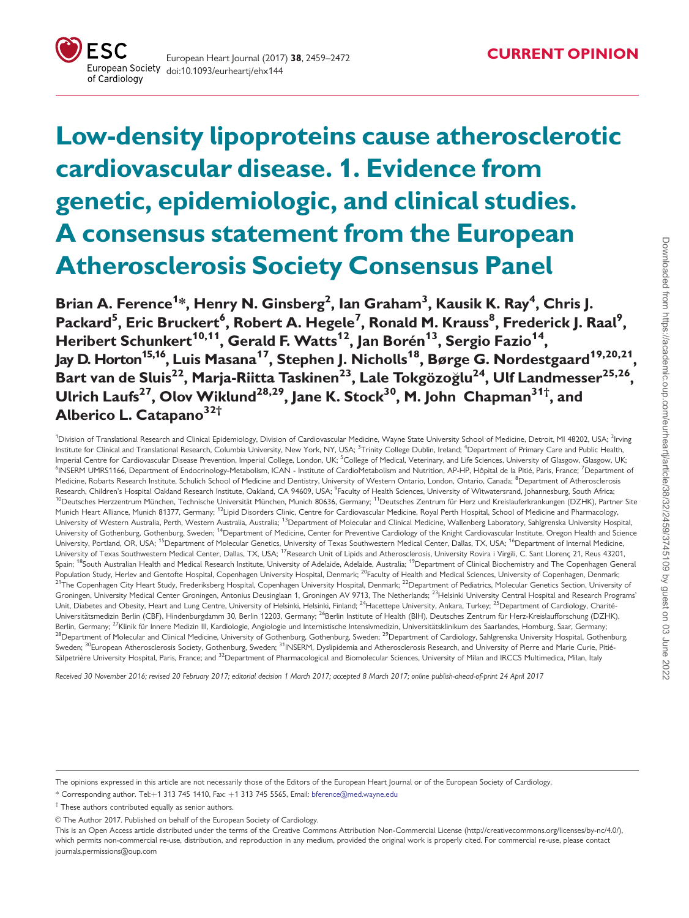

# Low-density lipoproteins cause atherosclerotic cardiovascular disease. 1. Evidence from genetic, epidemiologic, and clinical studies. A consensus statement from the European Atherosclerosis Society Consensus Panel

Brian A. Ference<sup>1</sup>\*, Henry N. Ginsberg<sup>2</sup>, Ian Graham<sup>3</sup>, Kausik K. Ray<sup>4</sup>, Chris J. Packard<sup>5</sup>, Eric Bruckert<sup>6</sup>, Robert A. Hegele<sup>7</sup>, Ronald M. Krauss<sup>8</sup>, Frederick J. Raal<sup>9</sup>, Heribert Schunkert<sup>10,11</sup>, Gerald F. Watts<sup>12</sup>, Jan Borén<sup>13</sup>, Sergio Fazio<sup>14</sup>, Jay D. Horton<sup>15,16</sup>, Luis Masana<sup>17</sup>, Stephen J. Nicholls<sup>18</sup>, Børge G. Nordestgaard<sup>19,20,21</sup>, Bart van de Sluis<sup>22</sup>, Marja-Riitta Taskinen<sup>23</sup>, Lale Tokgözoglu<sup>24</sup>, Ulf Landmesser<sup>25,26</sup>, Ulrich Laufs<sup>27</sup>, Olov Wiklund<sup>28,29</sup>, Jane K. Stock<sup>30</sup>, M. John Chapman<sup>31†</sup>, and Alberico L. Catapano<sup>32†</sup>

<sup>1</sup>Division of Translational Research and Clinical Epidemiology, Division of Cardiovascular Medicine, Wayne State University School of Medicine, Detroit, MI 48202, USA; <sup>2</sup>Irving Institute for Clinical and Translational Research, Columbia University, New York, NY, USA; <sup>3</sup>Trinity College Dublin, Ireland; <sup>4</sup>Department of Primary Care and Public Health, Imperial Centre for Cardiovascular Disease Prevention, Imperial College, London, UK; <sup>5</sup>College of Medical, Veterinary, and Life Sciences, University of Glasgow, Glasgow, UK; <sup>6</sup>INSERM UMRS1166, Department of Endocrinology-Metabolism, ICAN - Institute of CardioMetabolism and Nutrition, AP-HP, Hôpital de la Pitié, Paris, France; <sup>7</sup>Department of Medicine, Robarts Research Institute, Schulich School of Medicine and Dentistry, University of Western Ontario, London, Ontario, Canada; <sup>8</sup>Department of Atherosclerosis Research, Children's Hospital Oakland Research Institute, Oakland, CA 94609, USA; <sup>9</sup>Faculty of Health Sciences, University of Witwatersrand, Johannesburg, South Africa; <sup>10</sup>Deutsches Herzzentrum München, Technische Universität München, Munich 80636, Germany; <sup>11</sup>Deutsches Zentrum für Herz und Kreislauferkrankungen (DZHK), Partner Site Munich Heart Alliance, Munich 81377, Germany; <sup>12</sup>Lipid Disorders Clinic, Centre for Cardiovascular Medicine, Royal Perth Hospital, School of Medicine and Pharmacology, University of Western Australia, Perth, Western Australia, Australia; <sup>13</sup>Department of Molecular and Clinical Medicine, Wallenberg Laboratory, Sahlgrenska University Hospital, University of Gothenburg, Gothenburg, Sweden; <sup>14</sup>Department of Medicine, Center for Preventive Cardiology of the Knight Cardiovascular Institute, Oregon Health and Science University, Portland, OR, USA; 15Department of Molecular Genetics, University of Texas Southwestern Medical Center, Dallas, TX, USA; 16Department of Internal Medicine, University of Texas Southwestern Medical Center, Dallas, TX, USA; <sup>17</sup>Research Unit of Lipids and Atherosclerosis, University Rovira i Virgili, C. Sant Llorenç 21, Reus 43201, Spain; <sup>18</sup>South Australian Health and Medical Research Institute, University of Adelaide, Adelaide, Australia; <sup>19</sup>Department of Clinical Biochemistry and The Copenhagen General Population Study, Herlev and Gentofte Hospital, Copenhagen University Hospital, Denmark; <sup>20</sup>Faculty of Health and Medical Sciences, University of Copenhagen, Denmark; <sup>21</sup>The Copenhagen City Heart Study, Frederiksberg Hospital, Copenhagen University Hospital, Denmark; <sup>22</sup>Department of Pediatrics, Molecular Genetics Section, University of Groningen, University Medical Center Groningen, Antonius Deusinglaan 1, Groningen AV 9713, The Netherlands; <sup>23</sup>Helsinki University Central Hospital and Research Programs' Unit, Diabetes and Obesity, Heart and Lung Centre, University of Helsinki, Helsinki, Finland; <sup>24</sup>Hacettepe University, Ankara, Turkey; <sup>25</sup>Department of Cardiology, Charité-Universitätsmedizin Berlin (CBF), Hindenburgdamm 30, Berlin 12203, Germany; <sup>26</sup>Berlin Institute of Health (BIH), Deutsches Zentrum für Herz-Kreislaufforschung (DZHK), Berlin, Germany; <sup>27</sup>Klinik für Innere Medizin III, Kardiologie, Angiologie und Internistische Intensivmedizin, Universitätsklinikum des Saarlandes, Homburg, Saar, Germany; <sup>28</sup>Department of Molecular and Clinical Medicine, University of Gothenburg, Gothenburg, Sweden; <sup>29</sup>Department of Cardiology, Sahlgrenska University Hospital, Gothenburg, Sweden; <sup>30</sup>European Atherosclerosis Society, Gothenburg, Sweden; <sup>31</sup>INSERM, Dyslipidemia and Atherosclerosis Research, and University of Pierre and Marie Curie, Pitié-Sâlpetrière University Hospital, Paris, France; and <sup>32</sup>Department of Pharmacological and Biomolecular Sciences, University of Milan and IRCCS Multimedica, Milan, Italy

Received 30 November 2016; revised 20 February 2017; editorial decision 1 March 2017; accepted 8 March 2017; online publish-ahead-of-print 24 April 2017

The opinions expressed in this article are not necessarily those of the Editors of the European Heart Journal or of the European Society of Cardiology.

<sup>\*</sup> Corresponding author. Tel:þ1 313 745 1410, Fax: þ1 313 745 5565, Email: [bference@med.wayne.edu](mailto:)

<sup>†</sup> These authors contributed equally as senior authors.

 $\circ$  The Author 2017. Published on behalf of the European Society of Cardiology.

This is an Open Access article distributed under the terms of the Creative Commons Attribution Non-Commercial License (http://creativecommons.org/licenses/by-nc/4.0/), which permits non-commercial re-use, distribution, and reproduction in any medium, provided the original work is properly cited. For commercial re-use, please contact journals.permissions@oup.com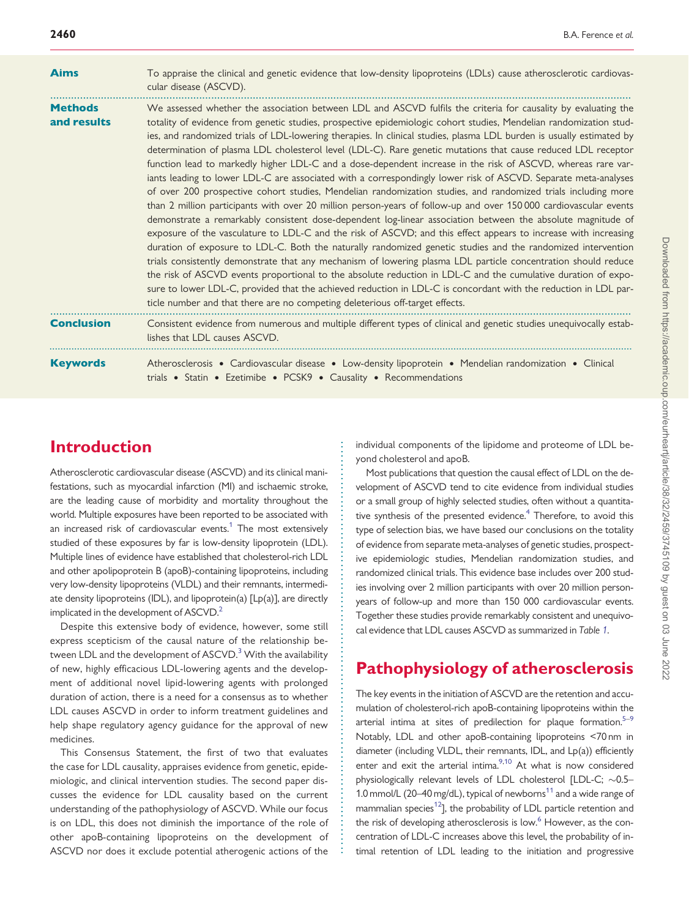| <b>Aims</b>                   | To appraise the clinical and genetic evidence that low-density lipoproteins (LDLs) cause atherosclerotic cardiovas-<br>cular disease (ASCVD).                                                                                                                                                                                                                                                                                                                                                                                                                                                                                                                                                                                                                                                                                                                                                                                                                                                                                                                                                                                                                                                                                                                                                                                                                                                                                                                                                                                                                                                                                                                                                                                                 |
|-------------------------------|-----------------------------------------------------------------------------------------------------------------------------------------------------------------------------------------------------------------------------------------------------------------------------------------------------------------------------------------------------------------------------------------------------------------------------------------------------------------------------------------------------------------------------------------------------------------------------------------------------------------------------------------------------------------------------------------------------------------------------------------------------------------------------------------------------------------------------------------------------------------------------------------------------------------------------------------------------------------------------------------------------------------------------------------------------------------------------------------------------------------------------------------------------------------------------------------------------------------------------------------------------------------------------------------------------------------------------------------------------------------------------------------------------------------------------------------------------------------------------------------------------------------------------------------------------------------------------------------------------------------------------------------------------------------------------------------------------------------------------------------------|
| <b>Methods</b><br>and results | We assessed whether the association between LDL and ASCVD fulfils the criteria for causality by evaluating the<br>totality of evidence from genetic studies, prospective epidemiologic cohort studies, Mendelian randomization stud-<br>ies, and randomized trials of LDL-lowering therapies. In clinical studies, plasma LDL burden is usually estimated by<br>determination of plasma LDL cholesterol level (LDL-C). Rare genetic mutations that cause reduced LDL receptor<br>function lead to markedly higher LDL-C and a dose-dependent increase in the risk of ASCVD, whereas rare var-<br>iants leading to lower LDL-C are associated with a correspondingly lower risk of ASCVD. Separate meta-analyses<br>of over 200 prospective cohort studies, Mendelian randomization studies, and randomized trials including more<br>than 2 million participants with over 20 million person-years of follow-up and over 150 000 cardiovascular events<br>demonstrate a remarkably consistent dose-dependent log-linear association between the absolute magnitude of<br>exposure of the vasculature to LDL-C and the risk of ASCVD; and this effect appears to increase with increasing<br>duration of exposure to LDL-C. Both the naturally randomized genetic studies and the randomized intervention<br>trials consistently demonstrate that any mechanism of lowering plasma LDL particle concentration should reduce<br>the risk of ASCVD events proportional to the absolute reduction in LDL-C and the cumulative duration of expo-<br>sure to lower LDL-C, provided that the achieved reduction in LDL-C is concordant with the reduction in LDL par-<br>ticle number and that there are no competing deleterious off-target effects. |
| <b>Conclusion</b>             | Consistent evidence from numerous and multiple different types of clinical and genetic studies unequivocally estab-<br>lishes that LDL causes ASCVD.                                                                                                                                                                                                                                                                                                                                                                                                                                                                                                                                                                                                                                                                                                                                                                                                                                                                                                                                                                                                                                                                                                                                                                                                                                                                                                                                                                                                                                                                                                                                                                                          |
| <b>Keywords</b>               | Atherosclerosis • Cardiovascular disease • Low-density lipoprotein • Mendelian randomization • Clinical<br>trials • Statin • Ezetimibe • PCSK9 • Causality • Recommendations                                                                                                                                                                                                                                                                                                                                                                                                                                                                                                                                                                                                                                                                                                                                                                                                                                                                                                                                                                                                                                                                                                                                                                                                                                                                                                                                                                                                                                                                                                                                                                  |

. . . . . . . . . . . . . . . . . . . . . . . . . . . . . . . . . . . . . . . . . . . . . . . . . . . . . . . . . . . . . . . . . . . . . . . . . . . . . . . . . . . . . . . . . . .

## Introduction

Atherosclerotic cardiovascular disease (ASCVD) and its clinical manifestations, such as myocardial infarction (MI) and ischaemic stroke, are the leading cause of morbidity and mortality throughout the world. Multiple exposures have been reported to be associated with an increased risk of cardiovascular events.<sup>1</sup> The most extensively studied of these exposures by far is low-density lipoprotein (LDL). Multiple lines of evidence have established that cholesterol-rich LDL and other apolipoprotein B (apoB)-containing lipoproteins, including very low-density lipoproteins (VLDL) and their remnants, intermediate density lipoproteins (IDL), and lipoprotein(a) [Lp(a)], are directly implicated in the development of ASCVD.<sup>2</sup>

Despite this extensive body of evidence, however, some still express scepticism of the causal nature of the relationship between LDL and the development of  $ASCVD$ .<sup>[3](#page-12-0)</sup> With the availability of new, highly efficacious LDL-lowering agents and the development of additional novel lipid-lowering agents with prolonged duration of action, there is a need for a consensus as to whether LDL causes ASCVD in order to inform treatment guidelines and help shape regulatory agency guidance for the approval of new medicines.

This Consensus Statement, the first of two that evaluates the case for LDL causality, appraises evidence from genetic, epidemiologic, and clinical intervention studies. The second paper discusses the evidence for LDL causality based on the current understanding of the pathophysiology of ASCVD. While our focus is on LDL, this does not diminish the importance of the role of other apoB-containing lipoproteins on the development of ASCVD nor does it exclude potential atherogenic actions of the

individual components of the lipidome and proteome of LDL beyond cholesterol and apoB.

Most publications that question the causal effect of LDL on the development of ASCVD tend to cite evidence from individual studies or a small group of highly selected studies, often without a quantita-tive synthesis of the presented evidence.<sup>[4](#page-12-0)</sup> Therefore, to avoid this type of selection bias, we have based our conclusions on the totality of evidence from separate meta-analyses of genetic studies, prospective epidemiologic studies, Mendelian randomization studies, and randomized clinical trials. This evidence base includes over 200 studies involving over 2 million participants with over 20 million personyears of follow-up and more than 150 000 cardiovascular events. Together these studies provide remarkably consistent and unequivocal evidence that LDL causes ASCVD as summarized in Table [1](#page-2-0).

# Pathophysiology of atherosclerosis

The key events in the initiation of ASCVD are the retention and accumulation of cholesterol-rich apoB-containing lipoproteins within the arterial intima at sites of predilection for plaque formation. $5-9$  $5-9$ Notably, LDL and other apoB-containing lipoproteins <70 nm in diameter (including VLDL, their remnants, IDL, and Lp(a)) efficiently enter and exit the arterial intima. $9,10$  At what is now considered physiologically relevant levels of LDL cholesterol [LDL-C;  $\sim$ 0.5– 1.0 mmol/L (20-40 mg/dL), typical of newborns $^{11}$  and a wide range of mammalian species<sup>12</sup>], the probability of LDL particle retention and the risk of developing atherosclerosis is low.<sup>[6](#page-12-0)</sup> However, as the concentration of LDL-C increases above this level, the probability of intimal retention of LDL leading to the initiation and progressive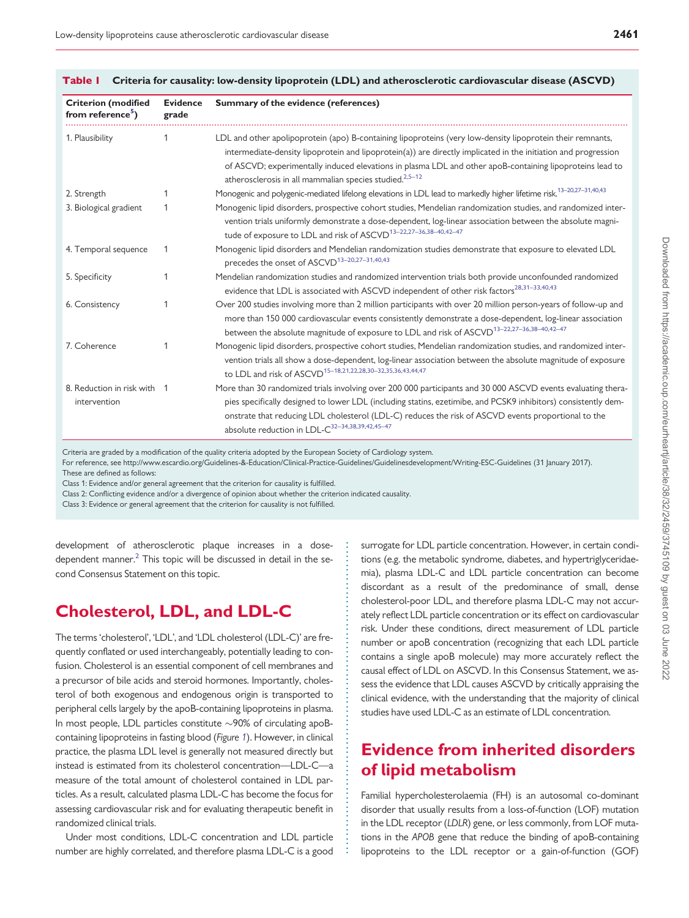| <b>Criterion (modified</b><br>from reference <sup>5</sup> ) | <b>Evidence</b><br>grade | Summary of the evidence (references)                                                                                                                                                                                                                                                                                                                                                                   |
|-------------------------------------------------------------|--------------------------|--------------------------------------------------------------------------------------------------------------------------------------------------------------------------------------------------------------------------------------------------------------------------------------------------------------------------------------------------------------------------------------------------------|
| 1. Plausibility                                             |                          | LDL and other apolipoprotein (apo) B-containing lipoproteins (very low-density lipoprotein their remnants,<br>intermediate-density lipoprotein and lipoprotein(a)) are directly implicated in the initiation and progression<br>of ASCVD; experimentally induced elevations in plasma LDL and other apoB-containing lipoproteins lead to<br>atherosclerosis in all mammalian species studied. $2,5-12$ |
| 2. Strength                                                 |                          | Monogenic and polygenic-mediated lifelong elevations in LDL lead to markedly higher lifetime risk. <sup>13-20,27-31,40,43</sup>                                                                                                                                                                                                                                                                        |
| 3. Biological gradient                                      |                          | Monogenic lipid disorders, prospective cohort studies, Mendelian randomization studies, and randomized inter-<br>vention trials uniformly demonstrate a dose-dependent, log-linear association between the absolute magni-<br>tude of exposure to LDL and risk of ASCVD <sup>13-22,27-36,38-40,42-47</sup>                                                                                             |
| 4. Temporal sequence                                        | -1                       | Monogenic lipid disorders and Mendelian randomization studies demonstrate that exposure to elevated LDL<br>precedes the onset of ASCVD <sup>13-20,27-31,40,43</sup>                                                                                                                                                                                                                                    |
| 5. Specificity                                              |                          | Mendelian randomization studies and randomized intervention trials both provide unconfounded randomized<br>evidence that LDL is associated with ASCVD independent of other risk factors <sup>28,31-33,40,43</sup>                                                                                                                                                                                      |
| 6. Consistency                                              | 1                        | Over 200 studies involving more than 2 million participants with over 20 million person-years of follow-up and<br>more than 150 000 cardiovascular events consistently demonstrate a dose-dependent, log-linear association<br>between the absolute magnitude of exposure to LDL and risk of ASCVD <sup>13-22,27-36,38-40,42-47</sup>                                                                  |
| 7. Coherence                                                |                          | Monogenic lipid disorders, prospective cohort studies, Mendelian randomization studies, and randomized inter-<br>vention trials all show a dose-dependent, log-linear association between the absolute magnitude of exposure<br>to LDL and risk of ASCVD <sup>15-18,21,22,28,30-32,35,36,43,44,47</sup>                                                                                                |
| 8. Reduction in risk with 1<br>intervention                 |                          | More than 30 randomized trials involving over 200 000 participants and 30 000 ASCVD events evaluating thera-<br>pies specifically designed to lower LDL (including statins, ezetimibe, and PCSK9 inhibitors) consistently dem-<br>onstrate that reducing LDL cholesterol (LDL-C) reduces the risk of ASCVD events proportional to the<br>absolute reduction in LDL-C <sup>32-34,38,39,42,45-47</sup>   |

#### <span id="page-2-0"></span>Table 1 Criteria for causality: low-density lipoprotein (LDL) and atherosclerotic cardiovascular disease (ASCVD)

Criteria are graded by a modification of the quality criteria adopted by the European Society of Cardiology system.

For reference, see [http://www.escardio.org/Guidelines-](http://www.escardio.org/Guidelines-&-Education/Clinical-Practice-Guidelines/Guidelinesdevelopment/Writing-ESC-Guidelines)&[-Education/Clinical-Practice-Guidelines/Guidelinesdevelopment/Writing-ESC-Guidelines](http://www.escardio.org/Guidelines-&-Education/Clinical-Practice-Guidelines/Guidelinesdevelopment/Writing-ESC-Guidelines) (31 January 2017). These are defined as follows:

> . . . . . . . . . . . . . . . . . . . . . . . . . . . . . . . . . . . . . . . . . . . . . . . . . . . . . . . . . . . . . . . . . . . .

Class 1: Evidence and/or general agreement that the criterion for causality is fulfilled.

Class 2: Conflicting evidence and/or a divergence of opinion about whether the criterion indicated causality.

Class 3: Evidence or general agreement that the criterion for causality is not fulfilled.

. development of atherosclerotic plaque increases in a dosedependent manner. $2$  This topic will be discussed in detail in the second Consensus Statement on this topic.

#### Cholesterol, LDL, and LDL-C

The terms 'cholesterol', 'LDL', and 'LDL cholesterol (LDL-C)' are frequently conflated or used interchangeably, potentially leading to confusion. Cholesterol is an essential component of cell membranes and a precursor of bile acids and steroid hormones. Importantly, cholesterol of both exogenous and endogenous origin is transported to peripheral cells largely by the apoB-containing lipoproteins in plasma. In most people, LDL particles constitute  $\sim$ 90% of circulating apoBcontaining lipoproteins in fasting blood (Figure [1](#page-3-0)). However, in clinical practice, the plasma LDL level is generally not measured directly but instead is estimated from its cholesterol concentration—LDL-C—a measure of the total amount of cholesterol contained in LDL particles. As a result, calculated plasma LDL-C has become the focus for assessing cardiovascular risk and for evaluating therapeutic benefit in randomized clinical trials.

Under most conditions, LDL-C concentration and LDL particle number are highly correlated, and therefore plasma LDL-C is a good

surrogate for LDL particle concentration. However, in certain conditions (e.g. the metabolic syndrome, diabetes, and hypertriglyceridaemia), plasma LDL-C and LDL particle concentration can become discordant as a result of the predominance of small, dense cholesterol-poor LDL, and therefore plasma LDL-C may not accurately reflect LDL particle concentration or its effect on cardiovascular risk. Under these conditions, direct measurement of LDL particle number or apoB concentration (recognizing that each LDL particle contains a single apoB molecule) may more accurately reflect the causal effect of LDL on ASCVD. In this Consensus Statement, we assess the evidence that LDL causes ASCVD by critically appraising the clinical evidence, with the understanding that the majority of clinical studies have used LDL-C as an estimate of LDL concentration.

# Evidence from inherited disorders of lipid metabolism

Familial hypercholesterolaemia (FH) is an autosomal co-dominant disorder that usually results from a loss-of-function (LOF) mutation in the LDL receptor (LDLR) gene, or less commonly, from LOF mutations in the APOB gene that reduce the binding of apoB-containing lipoproteins to the LDL receptor or a gain-of-function (GOF)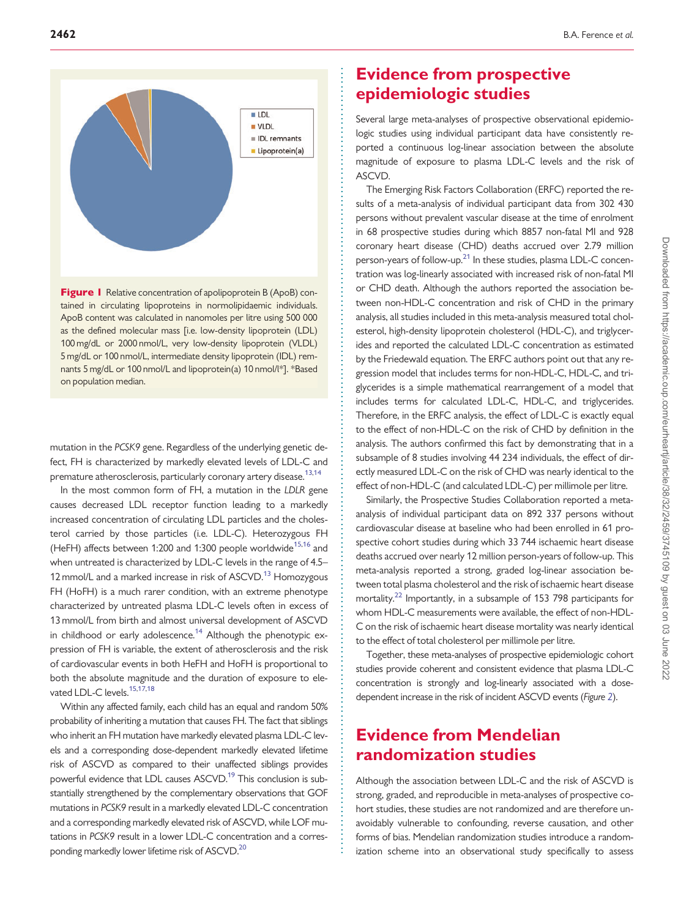<span id="page-3-0"></span>

Figure 1 Relative concentration of apolipoprotein B (ApoB) contained in circulating lipoproteins in normolipidaemic individuals. ApoB content was calculated in nanomoles per litre using 500 000 as the defined molecular mass [i.e. low-density lipoprotein (LDL) 100 mg/dL or 2000 nmol/L, very low-density lipoprotein (VLDL) 5 mg/dL or 100 nmol/L, intermediate density lipoprotein (IDL) remnants 5 mg/dL or 100 nmol/L and lipoprotein(a) 10 nmol/l\*]. \*Based on population median.

mutation in the PCSK9 gene. Regardless of the underlying genetic defect, FH is characterized by markedly elevated levels of LDL-C and premature atherosclerosis, particularly coronary artery disease.<sup>13,14</sup>

In the most common form of FH, a mutation in the LDLR gene causes decreased LDL receptor function leading to a markedly increased concentration of circulating LDL particles and the cholesterol carried by those particles (i.e. LDL-C). Heterozygous FH (HeFH) affects between 1:200 and 1:300 people worldwide<sup>15,16</sup> and when untreated is characterized by LDL-C levels in the range of 4.5– 12 mmol/L and a marked increase in risk of ASCVD.<sup>[13](#page-12-0)</sup> Homozygous FH (HoFH) is a much rarer condition, with an extreme phenotype characterized by untreated plasma LDL-C levels often in excess of 13 mmol/L from birth and almost universal development of ASCVD in childhood or early adolescence.<sup>14</sup> Although the phenotypic expression of FH is variable, the extent of atherosclerosis and the risk of cardiovascular events in both HeFH and HoFH is proportional to both the absolute magnitude and the duration of exposure to elevated LDL-C levels.<sup>15,17,18</sup>

Within any affected family, each child has an equal and random 50% probability of inheriting a mutation that causes FH. The fact that siblings who inherit an FH mutation have markedly elevated plasma LDL-C levels and a corresponding dose-dependent markedly elevated lifetime risk of ASCVD as compared to their unaffected siblings provides powerful evidence that LDL causes ASCVD.<sup>[19](#page-12-0)</sup> This conclusion is substantially strengthened by the complementary observations that GOF mutations in PCSK9 result in a markedly elevated LDL-C concentration and a corresponding markedly elevated risk of ASCVD, while LOF mutations in PCSK9 result in a lower LDL-C concentration and a corresponding markedly lower lifetime risk of ASCVD.<sup>20</sup>

#### Evidence from prospective epidemiologic studies

Several large meta-analyses of prospective observational epidemiologic studies using individual participant data have consistently reported a continuous log-linear association between the absolute magnitude of exposure to plasma LDL-C levels and the risk of ASCVD.

The Emerging Risk Factors Collaboration (ERFC) reported the results of a meta-analysis of individual participant data from 302 430 persons without prevalent vascular disease at the time of enrolment in 68 prospective studies during which 8857 non-fatal MI and 928 coronary heart disease (CHD) deaths accrued over 2.79 million person-years of follow-up.<sup>21</sup> In these studies, plasma LDL-C concentration was log-linearly associated with increased risk of non-fatal MI or CHD death. Although the authors reported the association between non-HDL-C concentration and risk of CHD in the primary analysis, all studies included in this meta-analysis measured total cholesterol, high-density lipoprotein cholesterol (HDL-C), and triglycerides and reported the calculated LDL-C concentration as estimated by the Friedewald equation. The ERFC authors point out that any regression model that includes terms for non-HDL-C, HDL-C, and triglycerides is a simple mathematical rearrangement of a model that includes terms for calculated LDL-C, HDL-C, and triglycerides. Therefore, in the ERFC analysis, the effect of LDL-C is exactly equal to the effect of non-HDL-C on the risk of CHD by definition in the analysis. The authors confirmed this fact by demonstrating that in a subsample of 8 studies involving 44 234 individuals, the effect of directly measured LDL-C on the risk of CHD was nearly identical to the effect of non-HDL-C (and calculated LDL-C) per millimole per litre.

Similarly, the Prospective Studies Collaboration reported a metaanalysis of individual participant data on 892 337 persons without cardiovascular disease at baseline who had been enrolled in 61 prospective cohort studies during which 33 744 ischaemic heart disease deaths accrued over nearly 12 million person-years of follow-up. This meta-analysis reported a strong, graded log-linear association between total plasma cholesterol and the risk of ischaemic heart disease mortality[.22](#page-12-0) Importantly, in a subsample of 153 798 participants for whom HDL-C measurements were available, the effect of non-HDL-C on the risk of ischaemic heart disease mortality was nearly identical to the effect of total cholesterol per millimole per litre.

Together, these meta-analyses of prospective epidemiologic cohort studies provide coherent and consistent evidence that plasma LDL-C concentration is strongly and log-linearly associated with a dosedependent increase in the risk of incident ASCVD events (Figure [2](#page-4-0)).

#### Evidence from Mendelian randomization studies

. . . . . . . . . . . . . . . . . . . . . . . . . . . . . . . . . . . . . . . . . . . . . . . . . . . . . . . . . . . . . . . . . . . . . . . . . . . . . . . . . . . . . . . . . . . . . . . . . . . . . . . . . . . . . . . . . . . . . . . . . . . . . . . . . . . . . . . . . . . . . . . . . . . . . . . . . . . . . . . . . . . . . . . . . . . . .

Although the association between LDL-C and the risk of ASCVD is strong, graded, and reproducible in meta-analyses of prospective cohort studies, these studies are not randomized and are therefore unavoidably vulnerable to confounding, reverse causation, and other forms of bias. Mendelian randomization studies introduce a randomization scheme into an observational study specifically to assess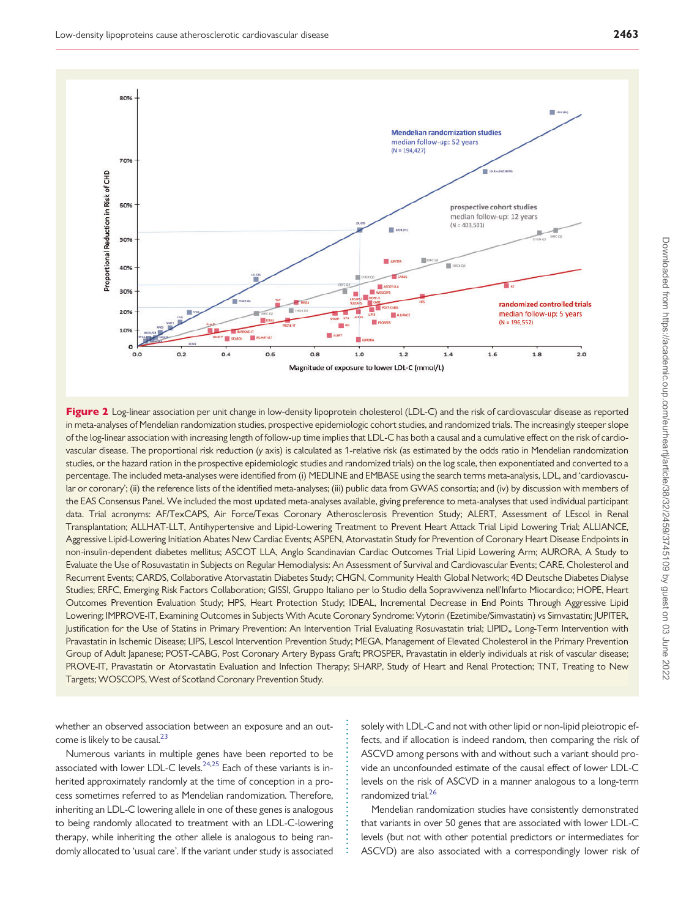<span id="page-4-0"></span>

Figure 2 Log-linear association per unit change in low-density lipoprotein cholesterol (LDL-C) and the risk of cardiovascular disease as reported in meta-analyses of Mendelian randomization studies, prospective epidemiologic cohort studies, and randomized trials. The increasingly steeperslope of the log-linear association with increasing length of follow-up time implies that LDL-C has both a causal and a cumulative effect on the risk of cardiovascular disease. The proportional risk reduction (y axis) is calculated as 1-relative risk (as estimated by the odds ratio in Mendelian randomization studies, or the hazard ration in the prospective epidemiologic studies and randomized trials) on the log scale, then exponentiated and converted to a percentage. The included meta-analyses were identified from (i) MEDLINE and EMBASE using the search terms meta-analysis, LDL, and 'cardiovascular or coronary'; (ii) the reference lists of the identified meta-analyses; (iii) public data from GWAS consortia; and (iv) by discussion with members of the EAS Consensus Panel. We included the most updated meta-analyses available, giving preference to meta-analyses that used individual participant data. Trial acronyms: AF/TexCAPS, Air Force/Texas Coronary Atherosclerosis Prevention Study; ALERT, Assessment of LEscol in Renal Transplantation; ALLHAT-LLT, Antihypertensive and Lipid-Lowering Treatment to Prevent Heart Attack Trial Lipid Lowering Trial; ALLIANCE, Aggressive Lipid-Lowering Initiation Abates New Cardiac Events; ASPEN, Atorvastatin Study for Prevention of Coronary Heart Disease Endpoints in non-insulin-dependent diabetes mellitus; ASCOT LLA, Anglo Scandinavian Cardiac Outcomes Trial Lipid Lowering Arm; AURORA, A Study to Evaluate the Use of Rosuvastatin in Subjects on Regular Hemodialysis: An Assessment of Survival and Cardiovascular Events; CARE, Cholesterol and Recurrent Events; CARDS, Collaborative Atorvastatin Diabetes Study; CHGN, Community Health Global Network; 4D Deutsche Diabetes Dialyse Studies; ERFC, Emerging Risk Factors Collaboration; GISSI, Gruppo Italiano per lo Studio della Sopravvivenza nell'Infarto Miocardico; HOPE, Heart Outcomes Prevention Evaluation Study; HPS, Heart Protection Study; IDEAL, Incremental Decrease in End Points Through Aggressive Lipid Lowering; IMPROVE-IT, Examining Outcomes in Subjects With Acute Coronary Syndrome: Vytorin (Ezetimibe/Simvastatin) vs Simvastatin; JUPITER, Justification for the Use of Statins in Primary Prevention: An Intervention Trial Evaluating Rosuvastatin trial; LIPID,, Long-Term Intervention with Pravastatin in Ischemic Disease; LIPS, Lescol Intervention Prevention Study; MEGA, Management of Elevated Cholesterol in the Primary Prevention Group of Adult Japanese; POST-CABG, Post Coronary Artery Bypass Graft; PROSPER, Pravastatin in elderly individuals at risk of vascular disease; PROVE-IT, Pravastatin or Atorvastatin Evaluation and Infection Therapy; SHARP, Study of Heart and Renal Protection; TNT, Treating to New Targets; WOSCOPS, West of Scotland Coronary Prevention Study.

. . . . . . . . . . . . . . . . . . . . . . . . . . . . .

whether an observed association between an exposure and an out-come is likely to be causal.<sup>[23](#page-12-0)</sup>

Numerous variants in multiple genes have been reported to be associated with lower LDL-C levels. $24,25$  $24,25$  Each of these variants is inherited approximately randomly at the time of conception in a process sometimes referred to as Mendelian randomization. Therefore, inheriting an LDL-C lowering allele in one of these genes is analogous to being randomly allocated to treatment with an LDL-C-lowering therapy, while inheriting the other allele is analogous to being randomly allocated to 'usual care'. If the variant under study is associated

solely with LDL-C and not with other lipid or non-lipid pleiotropic effects, and if allocation is indeed random, then comparing the risk of ASCVD among persons with and without such a variant should provide an unconfounded estimate of the causal effect of lower LDL-C levels on the risk of ASCVD in a manner analogous to a long-term randomized trial.<sup>26</sup>

Mendelian randomization studies have consistently demonstrated that variants in over 50 genes that are associated with lower LDL-C levels (but not with other potential predictors or intermediates for ASCVD) are also associated with a correspondingly lower risk of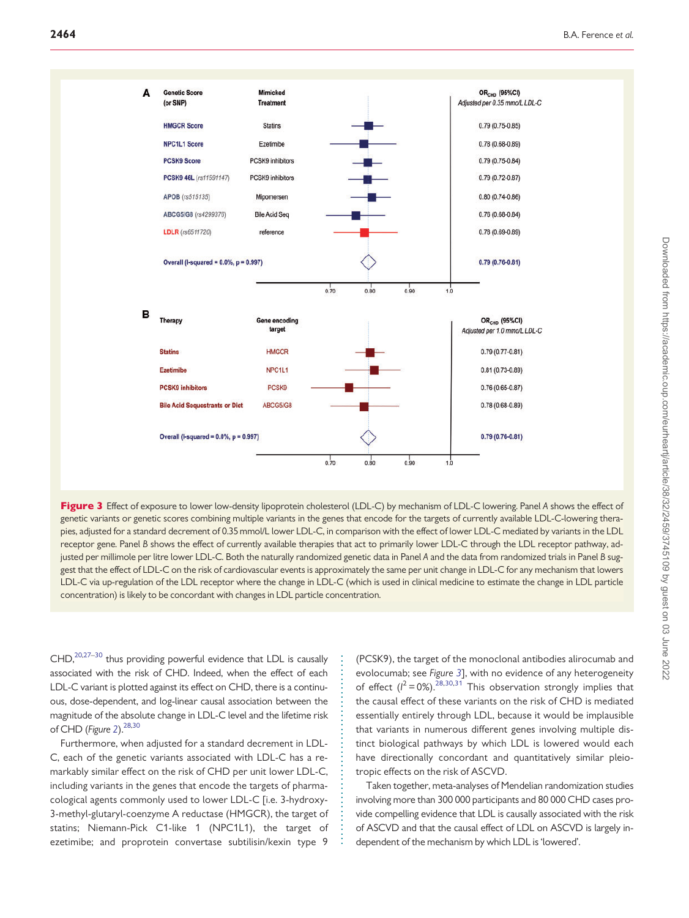<span id="page-5-0"></span>

Figure 3 Effect of exposure to lower low-density lipoprotein cholesterol (LDL-C) by mechanism of LDL-C lowering. Panel A shows the effect of genetic variants or genetic scores combining multiple variants in the genes that encode for the targets of currently available LDL-C-lowering therapies, adjusted for a standard decrement of 0.35 mmol/L lower LDL-C, in comparison with the effect of lower LDL-C mediated by variants in the LDL receptor gene. Panel B shows the effect of currently available therapies that act to primarily lower LDL-C through the LDL receptor pathway, adjusted per millimole per litre lower LDL-C. Both the naturally randomized genetic data in Panel A and the data from randomized trials in Panel B suggest that the effect of LDL-C on the risk of cardiovascular events is approximately the same per unit change in LDL-C for any mechanism that lowers LDL-C via up-regulation of the LDL receptor where the change in LDL-C (which is used in clinical medicine to estimate the change in LDL particle concentration) is likely to be concordant with changes in LDL particle concentration.

. . . . . . . . . . . . . . . . . . . . . . . . . . . . . . . . . . . . . . . . .

 $CHD<sub>1</sub><sup>20,27–30</sup>$  $CHD<sub>1</sub><sup>20,27–30</sup>$  $CHD<sub>1</sub><sup>20,27–30</sup>$  thus providing powerful evidence that LDL is causally associated with the risk of CHD. Indeed, when the effect of each LDL-C variant is plotted against its effect on CHD, there is a continuous, dose-dependent, and log-linear causal association between the magnitude of the absolute change in LDL-C level and the lifetime risk of CHD (Figure [2](#page-4-0)).<sup>[28,30](#page-13-0)</sup>

Furthermore, when adjusted for a standard decrement in LDL-C, each of the genetic variants associated with LDL-C has a remarkably similar effect on the risk of CHD per unit lower LDL-C, including variants in the genes that encode the targets of pharmacological agents commonly used to lower LDL-C [i.e. 3-hydroxy-3-methyl-glutaryl-coenzyme A reductase (HMGCR), the target of statins; Niemann-Pick C1-like 1 (NPC1L1), the target of ezetimibe; and proprotein convertase subtilisin/kexin type 9

(PCSK9), the target of the monoclonal antibodies alirocumab and evolocumab; see Figure 3], with no evidence of any heterogeneity of effect  $(I^2 = 0\%)$ . <sup>[28](#page-13-0),[30,31](#page-13-0)</sup> This observation strongly implies that the causal effect of these variants on the risk of CHD is mediated essentially entirely through LDL, because it would be implausible that variants in numerous different genes involving multiple distinct biological pathways by which LDL is lowered would each have directionally concordant and quantitatively similar pleiotropic effects on the risk of ASCVD.

Taken together, meta-analyses of Mendelian randomization studies involving more than 300 000 participants and 80 000 CHD cases provide compelling evidence that LDL is causally associated with the risk of ASCVD and that the causal effect of LDL on ASCVD is largely independent of the mechanism by which LDL is 'lowered'.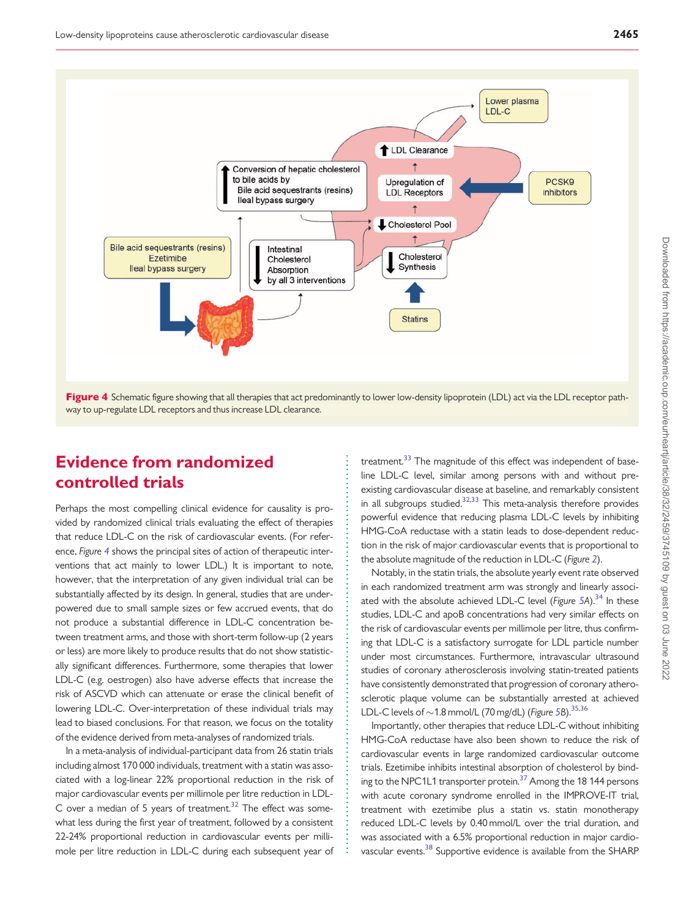<span id="page-6-0"></span>

. . . . . . . . . . . . . . . . . . . . . . . . . . . . . . . . . . . . . . . . . . . . . . . . . . . . . . . . . . . . . . . . . . . . . . . . . . . . . . . . . . . . . . .

## . Evidence from randomized controlled trials

Perhaps the most compelling clinical evidence for causality is provided by randomized clinical trials evaluating the effect of therapies that reduce LDL-C on the risk of cardiovascular events. (For reference, Figure 4 shows the principal sites of action of therapeutic interventions that act mainly to lower LDL.) It is important to note, however, that the interpretation of any given individual trial can be substantially affected by its design. In general, studies that are underpowered due to small sample sizes or few accrued events, that do not produce a substantial difference in LDL-C concentration between treatment arms, and those with short-term follow-up (2 years or less) are more likely to produce results that do not show statistically significant differences. Furthermore, some therapies that lower LDL-C (e.g. oestrogen) also have adverse effects that increase the risk of ASCVD which can attenuate or erase the clinical benefit of lowering LDL-C. Over-interpretation of these individual trials may lead to biased conclusions. For that reason, we focus on the totality of the evidence derived from meta-analyses of randomized trials.

In a meta-analysis of individual-participant data from 26 statin trials including almost 170 000 individuals, treatment with a statin was associated with a log-linear 22% proportional reduction in the risk of major cardiovascular events per millimole per litre reduction in LDL-C over a median of 5 years of treatment. $32$  The effect was somewhat less during the first year of treatment, followed by a consistent 22-24% proportional reduction in cardiovascular events per millimole per litre reduction in LDL-C during each subsequent year of

treatment.<sup>33</sup> The magnitude of this effect was independent of baseline LDL-C level, similar among persons with and without preexisting cardiovascular disease at baseline, and remarkably consistent in all subgroups studied. $32,33$  This meta-analysis therefore provides powerful evidence that reducing plasma LDL-C levels by inhibiting HMG-CoA reductase with a statin leads to dose-dependent reduction in the risk of major cardiovascular events that is proportional to the absolute magnitude of the reduction in LDL-C (Figure [2](#page-4-0)).

Notably, in the statin trials, the absolute yearly event rate observed in each randomized treatment arm was strongly and linearly associ-ated with the absolute achieved LDL-C level (Figure [5](#page-7-0)A). $34$  In these studies, LDL-C and apoB concentrations had very similar effects on the risk of cardiovascular events per millimole per litre, thus confirming that LDL-C is a satisfactory surrogate for LDL particle number under most circumstances. Furthermore, intravascular ultrasound studies of coronary atherosclerosis involving statin-treated patients have consistently demonstrated that progression of coronary atherosclerotic plaque volume can be substantially arrested at achieved LDL-C levels of  ${\sim}$  1.8 mmol/L (70 mg/dL) (Figure [5B](#page-7-0)).  $^{35,36}$  $^{35,36}$  $^{35,36}$  $^{35,36}$  $^{35,36}$ 

Importantly, other therapies that reduce LDL-C without inhibiting HMG-CoA reductase have also been shown to reduce the risk of cardiovascular events in large randomized cardiovascular outcome trials. Ezetimibe inhibits intestinal absorption of cholesterol by binding to the NPC1L1 transporter protein.<sup>37</sup> Among the 18 144 persons with acute coronary syndrome enrolled in the IMPROVE-IT trial, treatment with ezetimibe plus a statin vs. statin monotherapy reduced LDL-C levels by 0.40 mmol/L over the trial duration, and was associated with a 6.5% proportional reduction in major cardiovascular events.<sup>38</sup> Supportive evidence is available from the SHARP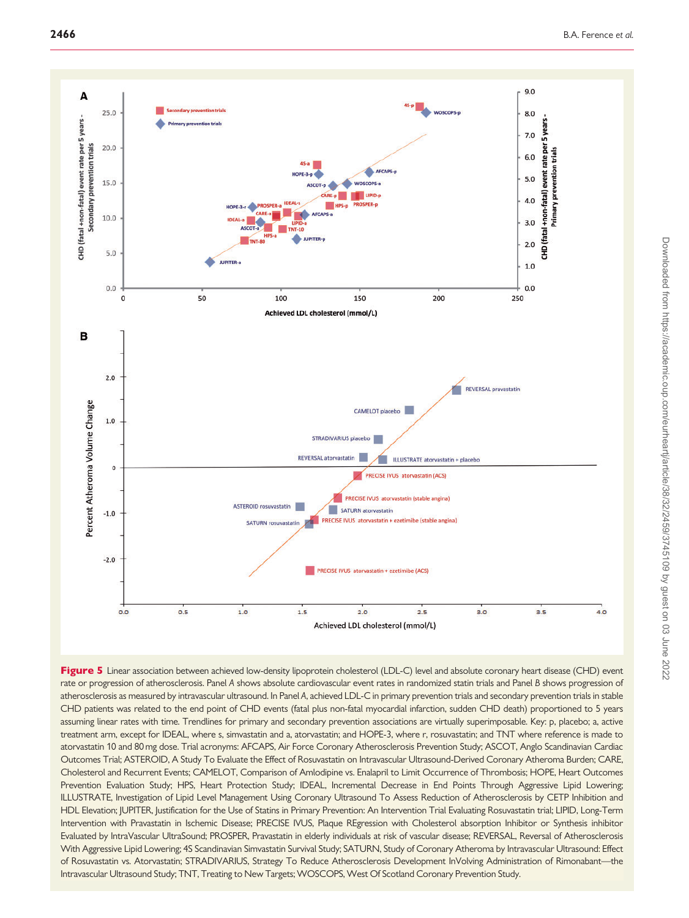<span id="page-7-0"></span>

Figure 5 Linear association between achieved low-density lipoprotein cholesterol (LDL-C) level and absolute coronary heart disease (CHD) event rate or progression of atherosclerosis. Panel A shows absolute cardiovascular event rates in randomized statin trials and Panel B shows progression of atherosclerosis as measured by intravascular ultrasound. In Panel A, achieved LDL-C in primary prevention trials and secondary prevention trials in stable CHD patients was related to the end point of CHD events (fatal plus non-fatal myocardial infarction, sudden CHD death) proportioned to 5 years assuming linear rates with time. Trendlines for primary and secondary prevention associations are virtually superimposable. Key: p, placebo; a, active treatment arm, except for IDEAL, where s, simvastatin and a, atorvastatin; and HOPE-3, where r, rosuvastatin; and TNT where reference is made to atorvastatin 10 and 80 mg dose. Trial acronyms: AFCAPS, Air Force Coronary Atherosclerosis Prevention Study; ASCOT, Anglo Scandinavian Cardiac Outcomes Trial; ASTEROID, A Study To Evaluate the Effect of Rosuvastatin on Intravascular Ultrasound-Derived Coronary Atheroma Burden; CARE, Cholesterol and Recurrent Events; CAMELOT, Comparison of Amlodipine vs. Enalapril to Limit Occurrence of Thrombosis; HOPE, Heart Outcomes Prevention Evaluation Study; HPS, Heart Protection Study; IDEAL, Incremental Decrease in End Points Through Aggressive Lipid Lowering; ILLUSTRATE, Investigation of Lipid Level Management Using Coronary Ultrasound To Assess Reduction of Atherosclerosis by CETP Inhibition and HDL Elevation; JUPITER, Justification for the Use of Statins in Primary Prevention: An Intervention Trial Evaluating Rosuvastatin trial; LIPID, Long-Term Intervention with Pravastatin in Ischemic Disease; PRECISE IVUS, Plaque REgression with Cholesterol absorption Inhibitor or Synthesis inhibitor Evaluated by IntraVascular UltraSound; PROSPER, Pravastatin in elderly individuals at risk of vascular disease; REVERSAL, Reversal of Atherosclerosis With Aggressive Lipid Lowering; 4S Scandinavian Simvastatin Survival Study; SATURN, Study of Coronary Atheroma by Intravascular Ultrasound: Effect of Rosuvastatin vs. Atorvastatin; STRADIVARIUS, Strategy To Reduce Atherosclerosis Development InVolving Administration of Rimonabant—the Intravascular Ultrasound Study; TNT, Treating to New Targets; WOSCOPS, West Of Scotland Coronary Prevention Study.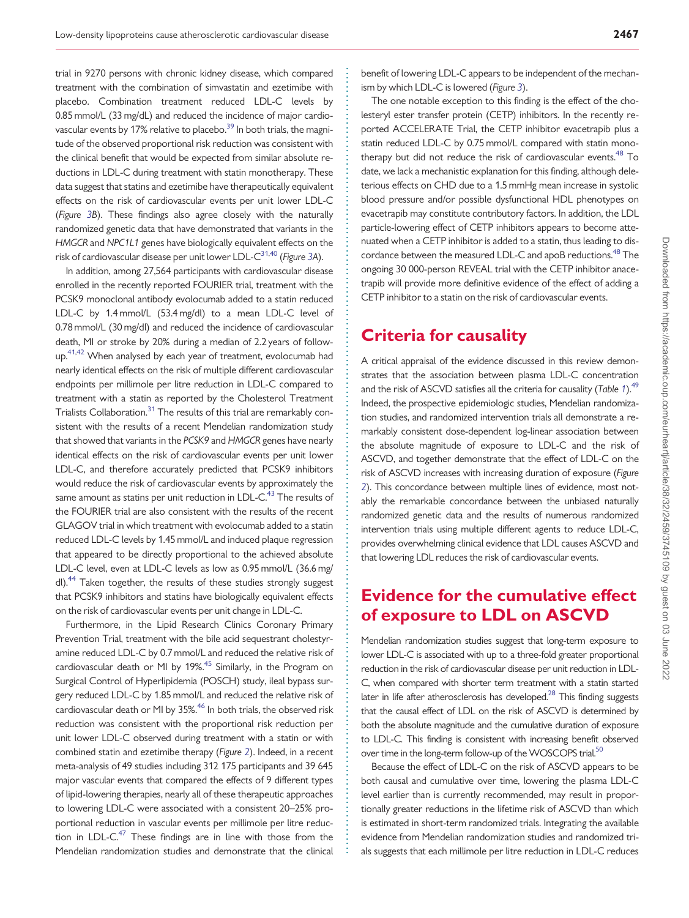. trial in 9270 persons with chronic kidney disease, which compared treatment with the combination of simvastatin and ezetimibe with placebo. Combination treatment reduced LDL-C levels by 0.85 mmol/L (33 mg/dL) and reduced the incidence of major cardiovascular events by 17% relative to placebo.<sup>39</sup> In both trials, the magnitude of the observed proportional risk reduction was consistent with the clinical benefit that would be expected from similar absolute reductions in LDL-C during treatment with statin monotherapy. These data suggest that statins and ezetimibe have therapeutically equivalent effects on the risk of cardiovascular events per unit lower LDL-C (Figure [3](#page-5-0)B). These findings also agree closely with the naturally randomized genetic data that have demonstrated that variants in the HMGCR and NPC1L1 genes have biologically equivalent effects on the risk of cardiovascular disease per unit lower LDL- $C^{31,40}$  $C^{31,40}$  $C^{31,40}$  (Figure [3](#page-5-0)A).

In addition, among 27,564 participants with cardiovascular disease enrolled in the recently reported FOURIER trial, treatment with the PCSK9 monoclonal antibody evolocumab added to a statin reduced LDL-C by 1.4 mmol/L (53.4 mg/dl) to a mean LDL-C level of 0.78 mmol/L (30 mg/dl) and reduced the incidence of cardiovascular death, MI or stroke by 20% during a median of 2.2 years of followup[.41,42](#page-13-0) When analysed by each year of treatment, evolocumab had nearly identical effects on the risk of multiple different cardiovascular endpoints per millimole per litre reduction in LDL-C compared to treatment with a statin as reported by the Cholesterol Treatment Trialists Collaboration.<sup>[31](#page-13-0)</sup> The results of this trial are remarkably consistent with the results of a recent Mendelian randomization study that showed that variants in the PCSK9 and HMGCR genes have nearly identical effects on the risk of cardiovascular events per unit lower LDL-C, and therefore accurately predicted that PCSK9 inhibitors would reduce the risk of cardiovascular events by approximately the same amount as statins per unit reduction in LDL-C.<sup>43</sup> The results of the FOURIER trial are also consistent with the results of the recent GLAGOV trial in which treatment with evolocumab added to a statin reduced LDL-C levels by 1.45 mmol/L and induced plaque regression that appeared to be directly proportional to the achieved absolute LDL-C level, even at LDL-C levels as low as 0.95 mmol/L (36.6 mg/ dl).<sup>[44](#page-13-0)</sup> Taken together, the results of these studies strongly suggest that PCSK9 inhibitors and statins have biologically equivalent effects on the risk of cardiovascular events per unit change in LDL-C.

Furthermore, in the Lipid Research Clinics Coronary Primary Prevention Trial, treatment with the bile acid sequestrant cholestyramine reduced LDL-C by 0.7 mmol/L and reduced the relative risk of cardiovascular death or MI by 19%.<sup>[45](#page-13-0)</sup> Similarly, in the Program on Surgical Control of Hyperlipidemia (POSCH) study, ileal bypass surgery reduced LDL-C by 1.85 mmol/L and reduced the relative risk of cardiovascular death or MI by 35%.<sup>[46](#page-13-0)</sup> In both trials, the observed risk reduction was consistent with the proportional risk reduction per unit lower LDL-C observed during treatment with a statin or with combined statin and ezetimibe therapy (Figure [2](#page-4-0)). Indeed, in a recent meta-analysis of 49 studies including 312 175 participants and 39 645 major vascular events that compared the effects of 9 different types of lipid-lowering therapies, nearly all of these therapeutic approaches to lowering LDL-C were associated with a consistent 20–25% proportional reduction in vascular events per millimole per litre reduction in LDL- $C^{47}$  These findings are in line with those from the Mendelian randomization studies and demonstrate that the clinical

benefit of lowering LDL-C appears to be independent of the mechan-ism by which LDL-C is lowered (Figure [3](#page-5-0)).

The one notable exception to this finding is the effect of the cholesteryl ester transfer protein (CETP) inhibitors. In the recently reported ACCELERATE Trial, the CETP inhibitor evacetrapib plus a statin reduced LDL-C by 0.75 mmol/L compared with statin monotherapy but did not reduce the risk of cardiovascular events.<sup>48</sup> To date, we lack a mechanistic explanation for this finding, although deleterious effects on CHD due to a 1.5 mmHg mean increase in systolic blood pressure and/or possible dysfunctional HDL phenotypes on evacetrapib may constitute contributory factors. In addition, the LDL particle-lowering effect of CETP inhibitors appears to become attenuated when a CETP inhibitor is added to a statin, thus leading to dis-cordance between the measured LDL-C and apoB reductions.<sup>[48](#page-13-0)</sup> The ongoing 30 000-person REVEAL trial with the CETP inhibitor anacetrapib will provide more definitive evidence of the effect of adding a CETP inhibitor to a statin on the risk of cardiovascular events.

#### Criteria for causality

A critical appraisal of the evidence discussed in this review demonstrates that the association between plasma LDL-C concentration and the risk of ASCVD satisfies all the criteria for causality (Table [1](#page-2-0)).<sup>49</sup> Indeed, the prospective epidemiologic studies, Mendelian randomization studies, and randomized intervention trials all demonstrate a remarkably consistent dose-dependent log-linear association between the absolute magnitude of exposure to LDL-C and the risk of ASCVD, and together demonstrate that the effect of LDL-C on the risk of ASCVD increases with increasing duration of exposure (Figure [2](#page-4-0)). This concordance between multiple lines of evidence, most notably the remarkable concordance between the unbiased naturally randomized genetic data and the results of numerous randomized intervention trials using multiple different agents to reduce LDL-C, provides overwhelming clinical evidence that LDL causes ASCVD and that lowering LDL reduces the risk of cardiovascular events.

## Evidence for the cumulative effect of exposure to LDL on ASCVD

Mendelian randomization studies suggest that long-term exposure to lower LDL-C is associated with up to a three-fold greater proportional reduction in the risk of cardiovascular disease per unit reduction in LDL-C, when compared with shorter term treatment with a statin started later in life after atherosclerosis has developed.<sup>28</sup> This finding suggests that the causal effect of LDL on the risk of ASCVD is determined by both the absolute magnitude and the cumulative duration of exposure to LDL-C. This finding is consistent with increasing benefit observed over time in the long-term follow-up of the WOSCOPS trial.<sup>50</sup>

Because the effect of LDL-C on the risk of ASCVD appears to be both causal and cumulative over time, lowering the plasma LDL-C level earlier than is currently recommended, may result in proportionally greater reductions in the lifetime risk of ASCVD than which is estimated in short-term randomized trials. Integrating the available evidence from Mendelian randomization studies and randomized trials suggests that each millimole per litre reduction in LDL-C reduces

. . . . . . . . . . . . . . . . . . . . . . . . . . . . . . . . . . . . . . . . . . . . . . . . . . . . . . . . . . . . . . . . . . . . . . . . . . . . . . . . . . . . . . . . . . . . . . . . . . . . . . . . . . . . . . . . . . . . . . . . . . . . . . . . . . . . . . . . . . . . . . . . . . . . . . . . . . . . . . . . . . . . . . . . . . . .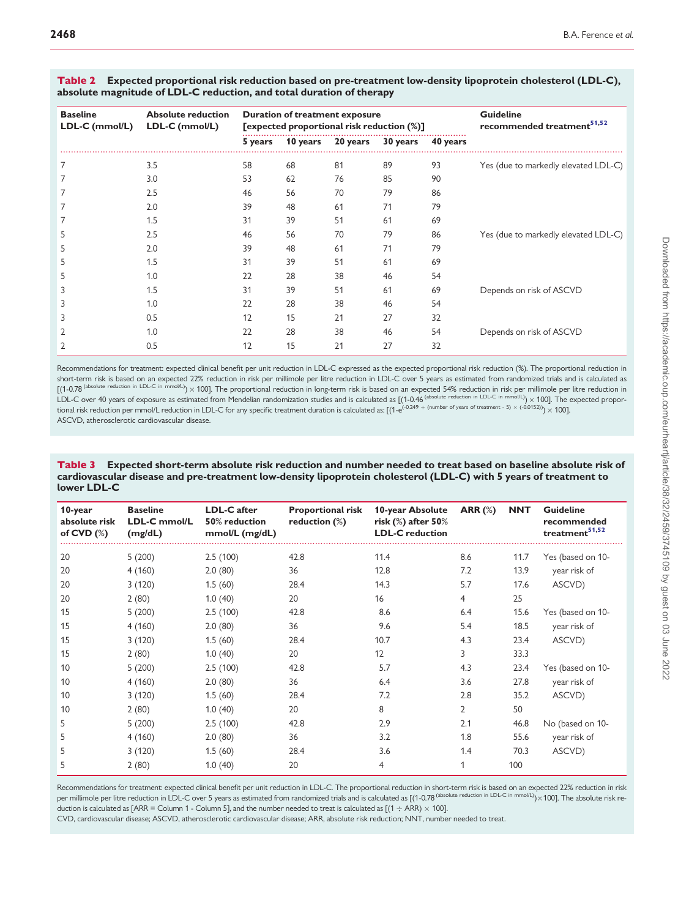| <b>Baseline</b><br>LDL-C (mmol/L) | <b>Absolute reduction</b><br>LDL-C (mmol/L) |         |    | <b>Duration of treatment exposure</b><br>[expected proportional risk reduction (%)] | <b>Guideline</b><br>recommended treatment <sup>51,52</sup> |          |                                      |
|-----------------------------------|---------------------------------------------|---------|----|-------------------------------------------------------------------------------------|------------------------------------------------------------|----------|--------------------------------------|
|                                   |                                             | 5 years |    | 10 years 20 years 30 years                                                          |                                                            | 40 years |                                      |
|                                   | 3.5                                         | 58      | 68 | 81                                                                                  | 89                                                         | 93       | Yes (due to markedly elevated LDL-C) |
|                                   | 3.0                                         | 53      | 62 | 76                                                                                  | 85                                                         | 90       |                                      |
|                                   | 2.5                                         | 46      | 56 | 70                                                                                  | 79                                                         | 86       |                                      |
|                                   | 2.0                                         | 39      | 48 | 61                                                                                  | 71                                                         | 79       |                                      |
|                                   | 1.5                                         | 31      | 39 | 51                                                                                  | 61                                                         | 69       |                                      |
|                                   | 2.5                                         | 46      | 56 | 70                                                                                  | 79                                                         | 86       | Yes (due to markedly elevated LDL-C) |
|                                   | 2.0                                         | 39      | 48 | 61                                                                                  | 71                                                         | 79       |                                      |
|                                   | 1.5                                         | 31      | 39 | 51                                                                                  | 61                                                         | 69       |                                      |
|                                   | 1.0                                         | 22      | 28 | 38                                                                                  | 46                                                         | 54       |                                      |
|                                   | 1.5                                         | 31      | 39 | 51                                                                                  | 61                                                         | 69       | Depends on risk of ASCVD             |
|                                   | 1.0                                         | 22      | 28 | 38                                                                                  | 46                                                         | 54       |                                      |
|                                   | 0.5                                         | 12      | 15 | 21                                                                                  | 27                                                         | 32       |                                      |
|                                   | 1.0                                         | 22      | 28 | 38                                                                                  | 46                                                         | 54       | Depends on risk of ASCVD             |
|                                   | 0.5                                         | 12      | 15 | 21                                                                                  | 27                                                         | 32       |                                      |

<span id="page-9-0"></span>Table 2 Expected proportional risk reduction based on pre-treatment low-density lipoprotein cholesterol (LDL-C), absolute magnitude of LDL-C reduction, and total duration of therapy

Recommendations for treatment: expected clinical benefit per unit reduction in LDL-C expressed as the expected proportional risk reduction (%). The proportional reduction in short-term risk is based on an expected 22% reduction in risk per millimole per litre reduction in LDL-C over 5 years as estimated from randomized trials and is calculated as<br>[(1-0.78 <sup>(absolute reduction in LDL-C in mmol(</sup> LDL-C over 40 years of exposure as estimated from Mendelian randomization studies and is calculated as [(1-0.46 <sup>(absolute reduction in LDL-C</sup> in mmo<sup>l/L)</sup>)  $\times$  100]. The expected proportional risk reduction per mmol/L reduction in LDL-C for any specific treatment duration is calculated as: [(1-e<sup>(-0.249 + (number of years of treatment - 5) × (-0.0152))</sup>)  $\times$  100]. ASCVD, atherosclerotic cardiovascular disease.

Table 3 Expected short-term absolute risk reduction and number needed to treat based on baseline absolute risk of cardiovascular disease and pre-treatment low-density lipoprotein cholesterol (LDL-C) with 5 years of treatment to lower LDL-C

| 10-year<br>absolute risk<br>of $CVD$ $(\%)$ | <b>Baseline</b><br>LDL-C mmol/L<br>(mg/dL) | <b>LDL-C</b> after<br>50% reduction<br>mmol/L (mg/dL) | <b>Proportional risk</b><br>reduction $(\%)$ | 10-year Absolute<br>risk $(\%)$ after 50%<br><b>LDL-C</b> reduction | ARR $(\%)$     | <b>NNT</b> | <b>Guideline</b><br>recommended<br>treatment <sup>51,52</sup> |
|---------------------------------------------|--------------------------------------------|-------------------------------------------------------|----------------------------------------------|---------------------------------------------------------------------|----------------|------------|---------------------------------------------------------------|
| 20                                          | 5(200)                                     | 2.5(100)                                              | 42.8                                         | 11.4                                                                | 8.6            | 11.7       | Yes (based on 10-                                             |
| 20                                          | 4(160)                                     | 2.0(80)                                               | 36                                           | 12.8                                                                | 7.2            | 13.9       | year risk of                                                  |
| 20                                          | 3(120)                                     | 1.5(60)                                               | 28.4                                         | 14.3                                                                | 5.7            | 17.6       | ASCVD)                                                        |
| 20                                          | 2(80)                                      | 1.0(40)                                               | 20                                           | 16                                                                  | $\overline{4}$ | 25         |                                                               |
| 15                                          | 5(200)                                     | 2.5(100)                                              | 42.8                                         | 8.6                                                                 | 6.4            | 15.6       | Yes (based on 10-                                             |
| 15                                          | 4(160)                                     | 2.0(80)                                               | 36                                           | 9.6                                                                 | 5.4            | 18.5       | year risk of                                                  |
| 15                                          | 3(120)                                     | 1.5(60)                                               | 28.4                                         | 10.7                                                                | 4.3            | 23.4       | ASCVD)                                                        |
| 15                                          | 2(80)                                      | 1.0(40)                                               | 20                                           | 12                                                                  | 3              | 33.3       |                                                               |
| 10                                          | 5(200)                                     | 2.5(100)                                              | 42.8                                         | 5.7                                                                 | 4.3            | 23.4       | Yes (based on 10-                                             |
| 10                                          | 4(160)                                     | 2.0(80)                                               | 36                                           | 6.4                                                                 | 3.6            | 27.8       | year risk of                                                  |
| 10                                          | 3(120)                                     | 1.5(60)                                               | 28.4                                         | 7.2                                                                 | 2.8            | 35.2       | ASCVD)                                                        |
| 10                                          | 2(80)                                      | 1.0(40)                                               | 20                                           | 8                                                                   | $\overline{2}$ | 50         |                                                               |
| 5                                           | 5(200)                                     | 2.5(100)                                              | 42.8                                         | 2.9                                                                 | 2.1            | 46.8       | No (based on 10-                                              |
| 5                                           | 4(160)                                     | 2.0(80)                                               | 36                                           | 3.2                                                                 | 1.8            | 55.6       | year risk of                                                  |
| 5                                           | 3(120)                                     | 1.5(60)                                               | 28.4                                         | 3.6                                                                 | 1.4            | 70.3       | ASCVD)                                                        |
| 5                                           | 2(80)                                      | 1.0(40)                                               | 20                                           | 4                                                                   |                | 100        |                                                               |

Recommendations for treatment: expected clinical benefit per unit reduction in LDL-C. The proportional reduction in short-term risk is based on an expected 22% reduction in risk<br>per millimole per litre reduction in LDL-C o duction is calculated as [ARR = Column 1 - Column 5], and the number needed to treat is calculated as [(1  $\div$  ARR)  $\times$  100].

CVD, cardiovascular disease; ASCVD, atherosclerotic cardiovascular disease; ARR, absolute risk reduction; NNT, number needed to treat.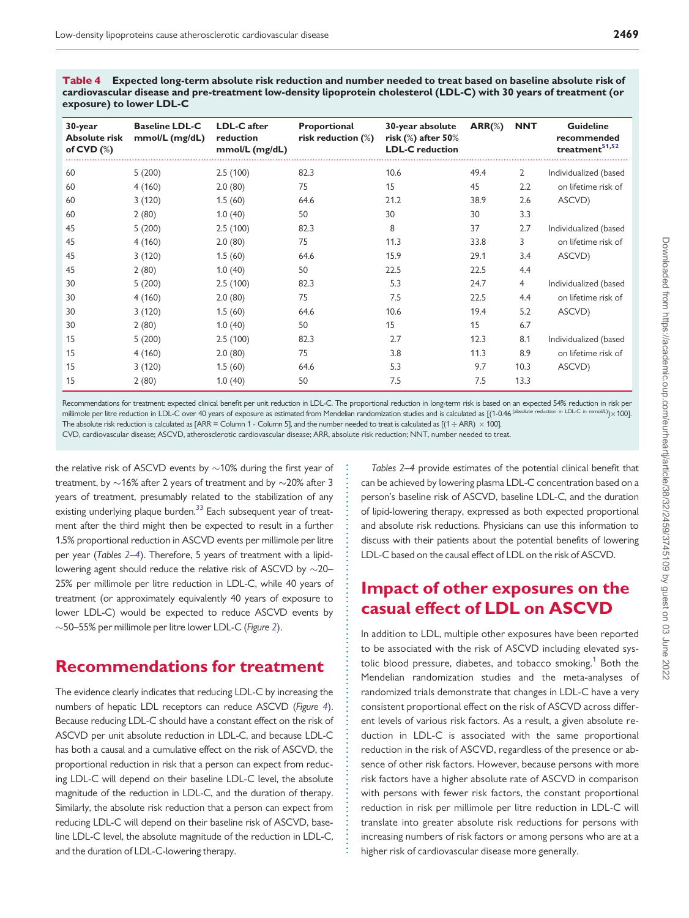Table 4 Expected long-term absolute risk reduction and number needed to treat based on baseline absolute risk of cardiovascular disease and pre-treatment low-density lipoprotein cholesterol (LDL-C) with 30 years of treatment (or exposure) to lower LDL-C

| 30-year<br><b>Absolute risk</b><br>of $CVD$ $(\%)$ | <b>Baseline LDL-C</b><br>mmol/L (mg/dL) | <b>LDL-C</b> after<br>reduction<br>mmol/L (mg/dL) | Proportional<br>risk reduction (%) | 30-year absolute<br>risk $(\%)$ after 50%<br><b>LDL-C</b> reduction | $ARR(\%)$ | <b>NNT</b> | <b>Guideline</b><br>recommended<br>treatment <sup>51,52</sup> |
|----------------------------------------------------|-----------------------------------------|---------------------------------------------------|------------------------------------|---------------------------------------------------------------------|-----------|------------|---------------------------------------------------------------|
| 60                                                 | 5(200)                                  | 2.5(100)                                          | 82.3                               | 10.6                                                                | 49.4      | 2          | Individualized (based                                         |
| 60                                                 | 4(160)                                  | 2.0(80)                                           | 75                                 | 15                                                                  | 45        | 2.2        | on lifetime risk of                                           |
| 60                                                 | 3(120)                                  | 1.5(60)                                           | 64.6                               | 21.2                                                                | 38.9      | 2.6        | ASCVD)                                                        |
| 60                                                 | 2(80)                                   | 1.0(40)                                           | 50                                 | 30                                                                  | 30        | 3.3        |                                                               |
| 45                                                 | 5(200)                                  | 2.5(100)                                          | 82.3                               | 8                                                                   | 37        | 2.7        | Individualized (based                                         |
| 45                                                 | 4(160)                                  | 2.0(80)                                           | 75                                 | 11.3                                                                | 33.8      | 3          | on lifetime risk of                                           |
| 45                                                 | 3(120)                                  | 1.5(60)                                           | 64.6                               | 15.9                                                                | 29.1      | 3.4        | ASCVD)                                                        |
| 45                                                 | 2(80)                                   | 1.0(40)                                           | 50                                 | 22.5                                                                | 22.5      | 4.4        |                                                               |
| 30                                                 | 5(200)                                  | 2.5(100)                                          | 82.3                               | 5.3                                                                 | 24.7      | 4          | Individualized (based                                         |
| 30                                                 | 4(160)                                  | 2.0(80)                                           | 75                                 | 7.5                                                                 | 22.5      | 4.4        | on lifetime risk of                                           |
| 30                                                 | 3(120)                                  | 1.5(60)                                           | 64.6                               | 10.6                                                                | 19.4      | 5.2        | ASCVD)                                                        |
| 30                                                 | 2(80)                                   | 1.0(40)                                           | 50                                 | 15                                                                  | 15        | 6.7        |                                                               |
| 15                                                 | 5(200)                                  | 2.5(100)                                          | 82.3                               | 2.7                                                                 | 12.3      | 8.1        | Individualized (based                                         |
| 15                                                 | 4(160)                                  | 2.0(80)                                           | 75                                 | 3.8                                                                 | 11.3      | 8.9        | on lifetime risk of                                           |
| 15                                                 | 3(120)                                  | 1.5(60)                                           | 64.6                               | 5.3                                                                 | 9.7       | 10.3       | ASCVD)                                                        |
| 15                                                 | 2(80)                                   | 1.0(40)                                           | 50                                 | 7.5                                                                 | 7.5       | 13.3       |                                                               |

Recommendations for treatment: expected clinical benefit per unit reduction in LDL-C. The proportional reduction in long-term risk is based on an expected 54% reduction in risk per millimole per litre reduction in LDL-C in millimole per litre reduction in LDL-C over 40 years of exposure as estimated from Mendelian randomization studies and is calculated as [(1-0.46 <sup>(absol</sup>uted as f) The absolute risk reduction is calculated as [ARR = Column 1 - Column 5], and the number needed to treat is calculated as [(1  $\div$  ARR)  $\times$  100].

> . . . . . . . . . . . . . . . . . . . . . . . . . . . . . . . . . . . . . . . . . . . . . . . . . . . . . . . . . . . . . . . . . . . . . . . . . . . . . . . . . . . . .

CVD, cardiovascular disease; ASCVD, atherosclerotic cardiovascular disease; ARR, absolute risk reduction; NNT, number needed to treat.

the relative risk of ASCVD events by  $\sim$  10% during the first year of  $\;$  : treatment, by  ${\sim}16\%$  after 2 years of treatment and by  ${\sim}20\%$  after 3 years of treatment, presumably related to the stabilization of any existing underlying plaque burden. $33$  Each subsequent year of treatment after the third might then be expected to result in a further 1.5% proportional reduction in ASCVD events per millimole per litre per year (Tables [2](#page-9-0)–4). Therefore, 5 years of treatment with a lipidlowering agent should reduce the relative risk of ASCVD by  $\sim$ 20– 25% per millimole per litre reduction in LDL-C, while 40 years of treatment (or approximately equivalently 40 years of exposure to lower LDL-C) would be expected to reduce ASCVD events by  $\sim$ 50–55% per millimole per litre lower LDL-C (Figure [2](#page-4-0)).

#### Recommendations for treatment

The evidence clearly indicates that reducing LDL-C by increasing the numbers of hepatic LDL receptors can reduce ASCVD (Figure [4](#page-6-0)). Because reducing LDL-C should have a constant effect on the risk of ASCVD per unit absolute reduction in LDL-C, and because LDL-C has both a causal and a cumulative effect on the risk of ASCVD, the proportional reduction in risk that a person can expect from reducing LDL-C will depend on their baseline LDL-C level, the absolute magnitude of the reduction in LDL-C, and the duration of therapy. Similarly, the absolute risk reduction that a person can expect from reducing LDL-C will depend on their baseline risk of ASCVD, baseline LDL-C level, the absolute magnitude of the reduction in LDL-C, and the duration of LDL-C-lowering therapy.

Tables 2–4 provide estimates of the potential clinical benefit that can be achieved by lowering plasma LDL-C concentration based on a person's baseline risk of ASCVD, baseline LDL-C, and the duration of lipid-lowering therapy, expressed as both expected proportional and absolute risk reductions. Physicians can use this information to discuss with their patients about the potential benefits of lowering LDL-C based on the causal effect of LDL on the risk of ASCVD.

## Impact of other exposures on the casual effect of LDL on ASCVD

In addition to LDL, multiple other exposures have been reported to be associated with the risk of ASCVD including elevated sys-tolic blood pressure, diabetes, and tobacco smoking.<sup>[1](#page-12-0)</sup> Both the Mendelian randomization studies and the meta-analyses of randomized trials demonstrate that changes in LDL-C have a very consistent proportional effect on the risk of ASCVD across different levels of various risk factors. As a result, a given absolute reduction in LDL-C is associated with the same proportional reduction in the risk of ASCVD, regardless of the presence or absence of other risk factors. However, because persons with more risk factors have a higher absolute rate of ASCVD in comparison with persons with fewer risk factors, the constant proportional reduction in risk per millimole per litre reduction in LDL-C will translate into greater absolute risk reductions for persons with increasing numbers of risk factors or among persons who are at a higher risk of cardiovascular disease more generally.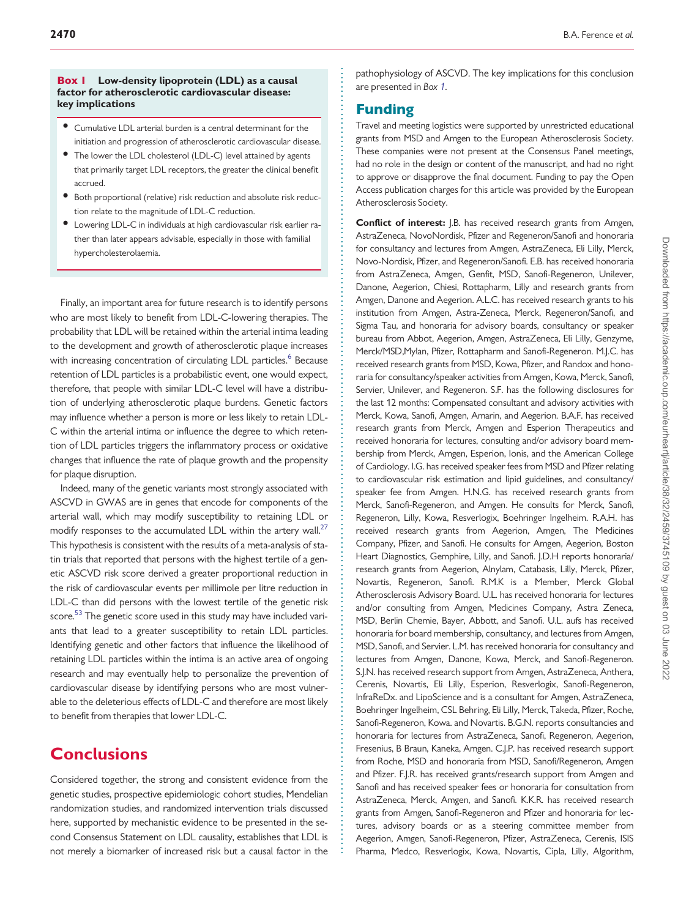#### Box I Low-density lipoprotein (LDL) as a causal factor for atherosclerotic cardiovascular disease: key implications

- Cumulative LDL arterial burden is a central determinant for the initiation and progression of atherosclerotic cardiovascular disease.
- The lower the LDL cholesterol (LDL-C) level attained by agents that primarily target LDL receptors, the greater the clinical benefit accrued.
- Both proportional (relative) risk reduction and absolute risk reduction relate to the magnitude of LDL-C reduction.
- Lowering LDL-C in individuals at high cardiovascular risk earlier rather than later appears advisable, especially in those with familial hypercholesterolaemia.

Finally, an important area for future research is to identify persons who are most likely to benefit from LDL-C-lowering therapies. The probability that LDL will be retained within the arterial intima leading to the development and growth of atherosclerotic plaque increases with increasing concentration of circulating LDL particles.<sup>[6](#page-12-0)</sup> Because retention of LDL particles is a probabilistic event, one would expect, therefore, that people with similar LDL-C level will have a distribution of underlying atherosclerotic plaque burdens. Genetic factors may influence whether a person is more or less likely to retain LDL-C within the arterial intima or influence the degree to which retention of LDL particles triggers the inflammatory process or oxidative changes that influence the rate of plaque growth and the propensity for plaque disruption.

Indeed, many of the genetic variants most strongly associated with ASCVD in GWAS are in genes that encode for components of the arterial wall, which may modify susceptibility to retaining LDL or modify responses to the accumulated LDL within the artery wall.<sup>27</sup> This hypothesis is consistent with the results of a meta-analysis of statin trials that reported that persons with the highest tertile of a genetic ASCVD risk score derived a greater proportional reduction in the risk of cardiovascular events per millimole per litre reduction in LDL-C than did persons with the lowest tertile of the genetic risk score.<sup>[53](#page-13-0)</sup> The genetic score used in this study may have included variants that lead to a greater susceptibility to retain LDL particles. Identifying genetic and other factors that influence the likelihood of retaining LDL particles within the intima is an active area of ongoing research and may eventually help to personalize the prevention of cardiovascular disease by identifying persons who are most vulnerable to the deleterious effects of LDL-C and therefore are most likely to benefit from therapies that lower LDL-C.

#### **Conclusions**

Considered together, the strong and consistent evidence from the genetic studies, prospective epidemiologic cohort studies, Mendelian randomization studies, and randomized intervention trials discussed here, supported by mechanistic evidence to be presented in the second Consensus Statement on LDL causality, establishes that LDL is not merely a biomarker of increased risk but a causal factor in the

. . . . . . . . . . . . . . . . . . . . . . . . . . . . . . . . . . . . . . . . . . . . . . . . . . . . . . . . . . . . . . . . . . . . . . . . . . . . . . . . . . . . . . . . . . . . . . . . . . . . . . . . . . . . . . . . . . . . . . . . . . . . . . . . . . . . . . . . . . . . . . . . . . . . . . . . . . . . . . . . . . . . . . . . . . . . .

pathophysiology of ASCVD. The key implications for this conclusion are presented in Box 1.

#### Funding

Travel and meeting logistics were supported by unrestricted educational grants from MSD and Amgen to the European Atherosclerosis Society. These companies were not present at the Consensus Panel meetings, had no role in the design or content of the manuscript, and had no right to approve or disapprove the final document. Funding to pay the Open Access publication charges for this article was provided by the European Atherosclerosis Society.

Conflict of interest: J.B. has received research grants from Amgen, AstraZeneca, NovoNordisk, Pfizer and Regeneron/Sanofi and honoraria for consultancy and lectures from Amgen, AstraZeneca, Eli Lilly, Merck, Novo-Nordisk, Pfizer, and Regeneron/Sanofi. E.B. has received honoraria from AstraZeneca, Amgen, Genfit, MSD, Sanofi-Regeneron, Unilever, Danone, Aegerion, Chiesi, Rottapharm, Lilly and research grants from Amgen, Danone and Aegerion. A.L.C. has received research grants to his institution from Amgen, Astra-Zeneca, Merck, Regeneron/Sanofi, and Sigma Tau, and honoraria for advisory boards, consultancy or speaker bureau from Abbot, Aegerion, Amgen, AstraZeneca, Eli Lilly, Genzyme, Merck/MSD,Mylan, Pfizer, Rottapharm and Sanofi-Regeneron. M.J.C. has received research grants from MSD, Kowa, Pfizer, and Randox and honoraria for consultancy/speaker activities from Amgen, Kowa, Merck, Sanofi, Servier, Unilever, and Regeneron. S.F. has the following disclosures for the last 12 months: Compensated consultant and advisory activities with Merck, Kowa, Sanofi, Amgen, Amarin, and Aegerion. B.A.F. has received research grants from Merck, Amgen and Esperion Therapeutics and received honoraria for lectures, consulting and/or advisory board membership from Merck, Amgen, Esperion, Ionis, and the American College of Cardiology. I.G. has received speaker fees from MSD and Pfizer relating to cardiovascular risk estimation and lipid guidelines, and consultancy/ speaker fee from Amgen. H.N.G. has received research grants from Merck, Sanofi-Regeneron, and Amgen. He consults for Merck, Sanofi, Regeneron, Lilly, Kowa, Resverlogix, Boehringer Ingelheim. R.A.H. has received research grants from Aegerion, Amgen, The Medicines Company, Pfizer, and Sanofi. He consults for Amgen, Aegerion, Boston Heart Diagnostics, Gemphire, Lilly, and Sanofi. J.D.H reports honoraria/ research grants from Aegerion, Alnylam, Catabasis, Lilly, Merck, Pfizer, Novartis, Regeneron, Sanofi. R.M.K is a Member, Merck Global Atherosclerosis Advisory Board. U.L. has received honoraria for lectures and/or consulting from Amgen, Medicines Company, Astra Zeneca, MSD, Berlin Chemie, Bayer, Abbott, and Sanofi. U.L. aufs has received honoraria for board membership, consultancy, and lectures from Amgen, MSD, Sanofi, and Servier. L.M. has received honoraria for consultancy and lectures from Amgen, Danone, Kowa, Merck, and Sanofi-Regeneron. S.J.N. has received research support from Amgen, AstraZeneca, Anthera, Cerenis, Novartis, Eli Lilly, Esperion, Resverlogix, Sanofi-Regeneron, InfraReDx. and LipoScience and is a consultant for Amgen, AstraZeneca, Boehringer Ingelheim, CSL Behring, Eli Lilly, Merck, Takeda, Pfizer, Roche, Sanofi-Regeneron, Kowa. and Novartis. B.G.N. reports consultancies and honoraria for lectures from AstraZeneca, Sanofi, Regeneron, Aegerion, Fresenius, B Braun, Kaneka, Amgen. C.J.P. has received research support from Roche, MSD and honoraria from MSD, Sanofi/Regeneron, Amgen and Pfizer. F.J.R. has received grants/research support from Amgen and Sanofi and has received speaker fees or honoraria for consultation from AstraZeneca, Merck, Amgen, and Sanofi. K.K.R. has received research grants from Amgen, Sanofi-Regeneron and Pfizer and honoraria for lectures, advisory boards or as a steering committee member from Aegerion, Amgen, Sanofi-Regeneron, Pfizer, AstraZeneca, Cerenis, ISIS Pharma, Medco, Resverlogix, Kowa, Novartis, Cipla, Lilly, Algorithm,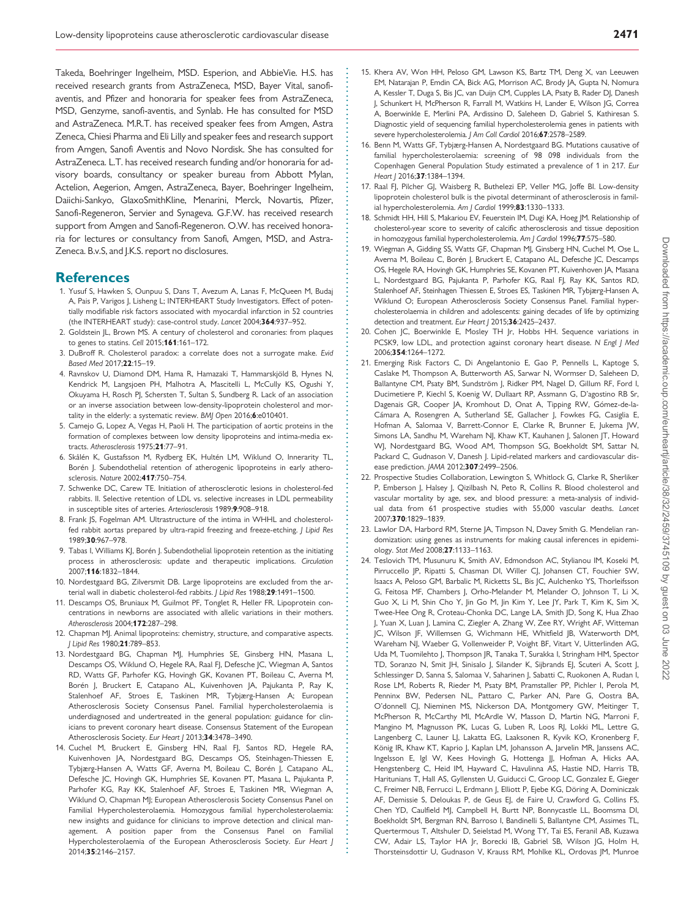<span id="page-12-0"></span>. Takeda, Boehringer Ingelheim, MSD. Esperion, and AbbieVie. H.S. has received research grants from AstraZeneca, MSD, Bayer Vital, sanofiaventis, and Pfizer and honoraria for speaker fees from AstraZeneca, MSD, Genzyme, sanofi-aventis, and Synlab. He has consulted for MSD and AstraZeneca. M.R.T. has received speaker fees from Amgen, Astra Zeneca, Chiesi Pharma and Eli Lilly and speaker fees and research support from Amgen, Sanofi Aventis and Novo Nordisk. She has consulted for AstraZeneca. L.T. has received research funding and/or honoraria for advisory boards, consultancy or speaker bureau from Abbott Mylan, Actelion, Aegerion, Amgen, AstraZeneca, Bayer, Boehringer Ingelheim, Daiichi-Sankyo, GlaxoSmithKline, Menarini, Merck, Novartis, Pfizer, Sanofi-Regeneron, Servier and Synageva. G.F.W. has received research support from Amgen and Sanofi-Regeneron. O.W. has received honoraria for lectures or consultancy from Sanofi, Amgen, MSD, and Astra-Zeneca. B.v.S, and J.K.S. report no disclosures.

#### **References**

- 1. Yusuf S, Hawken S, Ounpuu S, Dans T, Avezum A, Lanas F, McQueen M, Budaj A, Pais P, Varigos J, Lisheng L; INTERHEART Study Investigators. Effect of potentially modifiable risk factors associated with myocardial infarction in 52 countries (the INTERHEART study): case-control study. Lancet 2004;364:937–952.
- 2. Goldstein JL, Brown MS. A century of cholesterol and coronaries: from plaques to genes to statins. Cell 2015;161:161–172.
- 3. DuBroff R. Cholesterol paradox: a correlate does not a surrogate make. Evid Based Med 2017;22:15–19.
- 4. Ravnskov U, Diamond DM, Hama R, Hamazaki T, Hammarskjöld B, Hynes N, Kendrick M, Langsjoen PH, Malhotra A, Mascitelli L, McCully KS, Ogushi Y, Okuyama H, Rosch PJ, Schersten T, Sultan S, Sundberg R. Lack of an association or an inverse association between low-density-lipoprotein cholesterol and mortality in the elderly: a systematic review. BMJ Open 2016;6:e010401.
- 5. Camejo G, Lopez A, Vegas H, Paoli H. The participation of aortic proteins in the formation of complexes between low density lipoproteins and intima-media extracts. Atherosclerosis 1975;21:77–91.
- 6. Skålén K, Gustafsson M, Rydberg EK, Hultén LM, Wiklund O, Innerarity TL, Borén J. Subendothelial retention of atherogenic lipoproteins in early atherosclerosis. Nature 2002;417:750–754.
- 7. Schwenke DC, Carew TE. Initiation of atherosclerotic lesions in cholesterol-fed rabbits. II. Selective retention of LDL vs. selective increases in LDL permeability in susceptible sites of arteries. Arteriosclerosis 1989;9:908–918.
- 8. Frank JS, Fogelman AM. Ultrastructure of the intima in WHHL and cholesterolfed rabbit aortas prepared by ultra-rapid freezing and freeze-etching. *| Lipid Res* 1989;30:967–978.
- 9. Tabas I, Williams KJ, Borén J. Subendothelial lipoprotein retention as the initiating process in atherosclerosis: update and therapeutic implications. Circulation 2007;116:1832–1844.
- 10. Nordestgaard BG, Zilversmit DB. Large lipoproteins are excluded from the arterial wall in diabetic cholesterol-fed rabbits. J Lipid Res 1988;29:1491-1500.
- 11. Descamps OS, Bruniaux M, Guilmot PF, Tonglet R, Heller FR. Lipoprotein concentrations in newborns are associated with allelic variations in their mothers. Atherosclerosis 2004;172:287–298.
- 12. Chapman MJ. Animal lipoproteins: chemistry, structure, and comparative aspects. J Lipid Res 1980;21:789–853.
- 13. Nordestgaard BG, Chapman MJ, Humphries SE, Ginsberg HN, Masana L, Descamps OS, Wiklund O, Hegele RA, Raal FJ, Defesche JC, Wiegman A, Santos RD, Watts GF, Parhofer KG, Hovingh GK, Kovanen PT, Boileau C, Averna M, Borén J, Bruckert E, Catapano AL, Kuivenhoven JA, Pajukanta P, Ray K, Stalenhoef AF, Stroes E, Taskinen MR, Tybjærg-Hansen A; European Atherosclerosis Society Consensus Panel. Familial hypercholesterolaemia is underdiagnosed and undertreated in the general population: guidance for clinicians to prevent coronary heart disease. Consensus Statement of the European Atherosclerosis Society. Eur Heart J 2013;34:3478-3490.
- 14. Cuchel M, Bruckert E, Ginsberg HN, Raal FJ, Santos RD, Hegele RA, Kuivenhoven JA, Nordestgaard BG, Descamps OS, Steinhagen-Thiessen E, Tybjærg-Hansen A, Watts GF, Averna M, Boileau C, Borén J, Catapano AL, Defesche JC, Hovingh GK, Humphries SE, Kovanen PT, Masana L, Pajukanta P, Parhofer KG, Ray KK, Stalenhoef AF, Stroes E, Taskinen MR, Wiegman A, Wiklund O, Chapman MJ; European Atherosclerosis Society Consensus Panel on Familial Hypercholesterolaemia. Homozygous familial hypercholesterolaemia: new insights and guidance for clinicians to improve detection and clinical management. A position paper from the Consensus Panel on Familial Hypercholesterolaemia of the European Atherosclerosis Society. Eur Heart J 2014;35:2146–2157.

. . . . . . . . . . . . . . . . . . . . . . . . . . . . . . . . . . . . . . . . . . . . . . . . . . . . . . . . . . . . . . . . . . . . . . . . . . . . . . . . . . . . . . . . . . . . . . . . . . . . . . . . . . . . . . . . . . . . . . . . . . . . . . . . . . . . . . . . . . . . . . . . . . . . . . . . . . . . . . . . . . . . . . . . . . . .

- 15. Khera AV, Won HH, Peloso GM, Lawson KS, Bartz TM, Deng X, van Leeuwen EM, Natarajan P, Emdin CA, Bick AG, Morrison AC, Brody JA, Gupta N, Nomura A, Kessler T, Duga S, Bis JC, van Duijn CM, Cupples LA, Psaty B, Rader DJ, Danesh J, Schunkert H, McPherson R, Farrall M, Watkins H, Lander E, Wilson JG, Correa A, Boerwinkle E, Merlini PA, Ardissino D, Saleheen D, Gabriel S, Kathiresan S. Diagnostic yield of sequencing familial hypercholesterolemia genes in patients with severe hypercholesterolemia. J Am Coll Cardiol 2016;67:2578-2589.
- 16. Benn M, Watts GF, Tybjærg-Hansen A, Nordestgaard BG. Mutations causative of familial hypercholesterolaemia: screening of 98 098 individuals from the Copenhagen General Population Study estimated a prevalence of 1 in 217. Eur Heart I 2016:37:1384-1394.
- 17. Raal FJ, Pilcher GJ, Waisberg R, Buthelezi EP, Veller MG, Joffe BI. Low-density lipoprotein cholesterol bulk is the pivotal determinant of atherosclerosis in familial hypercholesterolemia. Am J Cardiol 1999;83:1330-1333.
- 18. Schmidt HH, Hill S, Makariou EV, Feuerstein IM, Dugi KA, Hoeg JM. Relationship of cholesterol-year score to severity of calcific atherosclerosis and tissue deposition in homozygous familial hypercholesterolemia. Am J Cardiol 1996;77:575-580.
- 19. Wiegman A, Gidding SS, Watts GF, Chapman MJ, Ginsberg HN, Cuchel M, Ose L, Averna M, Boileau C, Borén J, Bruckert E, Catapano AL, Defesche JC, Descamps OS, Hegele RA, Hovingh GK, Humphries SE, Kovanen PT, Kuivenhoven JA, Masana L, Nordestgaard BG, Pajukanta P, Parhofer KG, Raal FJ, Ray KK, Santos RD, Stalenhoef AF, Steinhagen Thiessen E, Stroes ES, Taskinen MR, Tybjærg-Hansen A, Wiklund O; European Atherosclerosis Society Consensus Panel. Familial hypercholesterolaemia in children and adolescents: gaining decades of life by optimizing detection and treatment. Eur Heart | 2015;36:2425-2437.
- 20. Cohen JC, Boerwinkle E, Mosley TH Jr, Hobbs HH. Sequence variations in PCSK9, low LDL, and protection against coronary heart disease. N Engl J Med 2006;354:1264–1272.
- 21. Emerging Risk Factors C, Di Angelantonio E, Gao P, Pennells L, Kaptoge S, Caslake M, Thompson A, Butterworth AS, Sarwar N, Wormser D, Saleheen D, Ballantyne CM, Psaty BM, Sundström J, Ridker PM, Nagel D, Gillum RF, Ford I, Ducimetiere P, Kiechl S, Koenig W, Dullaart RP, Assmann G, D'agostino RB Sr, Dagenais GR, Cooper JA, Kromhout D, Onat A, Tipping RW, Gómez-de-la-Cámara A, Rosengren A, Sutherland SE, Gallacher J, Fowkes FG, Casiglia E, Hofman A, Salomaa V, Barrett-Connor E, Clarke R, Brunner E, Jukema JW, Simons LA, Sandhu M, Wareham NJ, Khaw KT, Kauhanen J, Salonen JT, Howard WJ, Nordestgaard BG, Wood AM, Thompson SG, Boekholdt SM, Sattar N, Packard C, Gudnason V, Danesh J. Lipid-related markers and cardiovascular disease prediction. JAMA 2012;307:2499-2506.
- 22. Prospective Studies Collaboration, Lewington S, Whitlock G, Clarke R, Sherliker P, Emberson J, Halsey J, Qizilbash N, Peto R, Collins R. Blood cholesterol and vascular mortality by age, sex, and blood pressure: a meta-analysis of individual data from 61 prospective studies with 55,000 vascular deaths. Lancet 2007;370:1829–1839.
- 23. Lawlor DA, Harbord RM, Sterne JA, Timpson N, Davey Smith G. Mendelian randomization: using genes as instruments for making causal inferences in epidemiology. Stat Med 2008;27:1133–1163.
- 24. Teslovich TM, Musunuru K, Smith AV, Edmondson AC, Stylianou IM, Koseki M, Pirruccello JP, Ripatti S, Chasman DI, Willer CJ, Johansen CT, Fouchier SW, Isaacs A, Peloso GM, Barbalic M, Ricketts SL, Bis JC, Aulchenko YS, Thorleifsson G, Feitosa MF, Chambers J, Orho-Melander M, Melander O, Johnson T, Li X, Guo X, Li M, Shin Cho Y, Jin Go M, Jin Kim Y, Lee JY, Park T, Kim K, Sim X, Twee-Hee Ong R, Croteau-Chonka DC, Lange LA, Smith JD, Song K, Hua Zhao J, Yuan X, Luan J, Lamina C, Ziegler A, Zhang W, Zee RY, Wright AF, Witteman JC, Wilson JF, Willemsen G, Wichmann HE, Whitfield JB, Waterworth DM, Wareham NJ, Waeber G, Vollenweider P, Voight BF, Vitart V, Uitterlinden AG, Uda M, Tuomilehto J, Thompson JR, Tanaka T, Surakka I, Stringham HM, Spector TD, Soranzo N, Smit IH, Sinisalo I, Silander K, Siibrands EI, Scuteri A, Scott I, Schlessinger D, Sanna S, Salomaa V, Saharinen J, Sabatti C, Ruokonen A, Rudan I, Rose LM, Roberts R, Rieder M, Psaty BM, Pramstaller PP, Pichler I, Perola M, Penninx BW, Pedersen NL, Pattaro C, Parker AN, Pare G, Oostra BA, O'donnell CJ, Nieminen MS, Nickerson DA, Montgomery GW, Meitinger T, McPherson R, McCarthy MI, McArdle W, Masson D, Martin NG, Marroni F, Mangino M, Magnusson PK, Lucas G, Luben R, Loos RJ, Lokki ML, Lettre G, Langenberg C, Launer LJ, Lakatta EG, Laaksonen R, Kyvik KO, Kronenberg F, König IR, Khaw KT, Kaprio J, Kaplan LM, Johansson A, Jarvelin MR, Janssens AC, Ingelsson E, Igl W, Kees Hovingh G, Hottenga JJ, Hofman A, Hicks AA, Hengstenberg C, Heid IM, Hayward C, Havulinna AS, Hastie ND, Harris TB, Haritunians T, Hall AS, Gyllensten U, Guiducci C, Groop LC, Gonzalez E, Gieger C, Freimer NB, Ferrucci L, Erdmann J, Elliott P, Ejebe KG, Döring A, Dominiczak AF, Demissie S, Deloukas P, de Geus EJ, de Faire U, Crawford G, Collins FS, Chen YD, Caulfield MJ, Campbell H, Burtt NP, Bonnycastle LL, Boomsma DI, Boekholdt SM, Bergman RN, Barroso I, Bandinelli S, Ballantyne CM, Assimes TL, Quertermous T, Altshuler D, Seielstad M, Wong TY, Tai ES, Feranil AB, Kuzawa CW, Adair LS, Taylor HA Jr, Borecki IB, Gabriel SB, Wilson JG, Holm H, Thorsteinsdottir U, Gudnason V, Krauss RM, Mohlke KL, Ordovas JM, Munroe